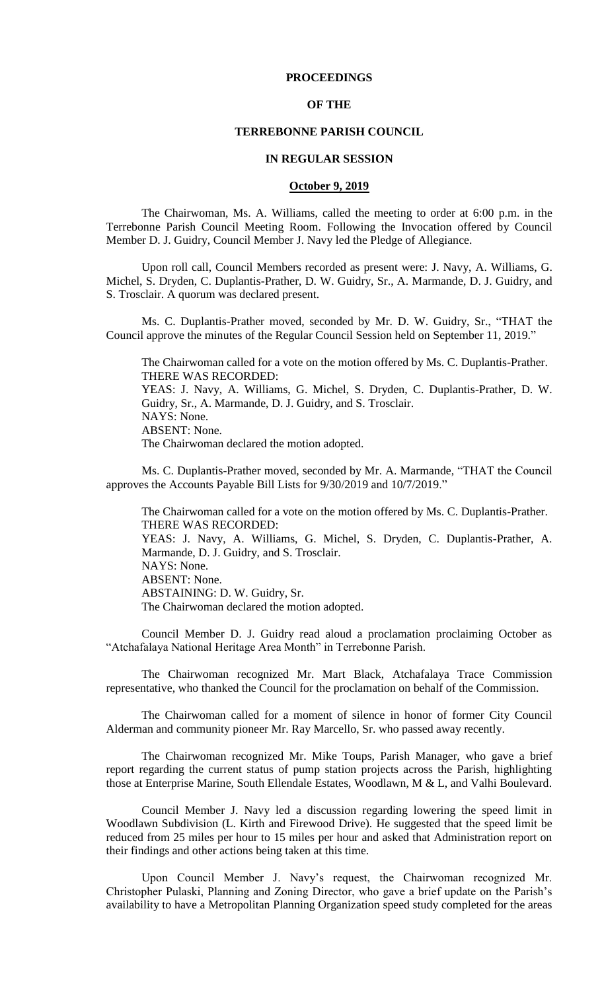# **PROCEEDINGS**

# **OF THE**

#### **TERREBONNE PARISH COUNCIL**

### **IN REGULAR SESSION**

### **October 9, 2019**

The Chairwoman, Ms. A. Williams, called the meeting to order at 6:00 p.m. in the Terrebonne Parish Council Meeting Room. Following the Invocation offered by Council Member D. J. Guidry, Council Member J. Navy led the Pledge of Allegiance.

Upon roll call, Council Members recorded as present were: J. Navy, A. Williams, G. Michel, S. Dryden, C. Duplantis-Prather, D. W. Guidry, Sr., A. Marmande, D. J. Guidry, and S. Trosclair. A quorum was declared present.

Ms. C. Duplantis-Prather moved, seconded by Mr. D. W. Guidry, Sr., "THAT the Council approve the minutes of the Regular Council Session held on September 11, 2019."

The Chairwoman called for a vote on the motion offered by Ms. C. Duplantis-Prather. THERE WAS RECORDED:

YEAS: J. Navy, A. Williams, G. Michel, S. Dryden, C. Duplantis-Prather, D. W. Guidry, Sr., A. Marmande, D. J. Guidry, and S. Trosclair. NAYS: None.

ABSENT: None.

The Chairwoman declared the motion adopted.

Ms. C. Duplantis-Prather moved, seconded by Mr. A. Marmande, "THAT the Council approves the Accounts Payable Bill Lists for 9/30/2019 and 10/7/2019."

The Chairwoman called for a vote on the motion offered by Ms. C. Duplantis-Prather. THERE WAS RECORDED: YEAS: J. Navy, A. Williams, G. Michel, S. Dryden, C. Duplantis-Prather, A. Marmande, D. J. Guidry, and S. Trosclair. NAYS: None. ABSENT: None. ABSTAINING: D. W. Guidry, Sr. The Chairwoman declared the motion adopted.

Council Member D. J. Guidry read aloud a proclamation proclaiming October as "Atchafalaya National Heritage Area Month" in Terrebonne Parish.

The Chairwoman recognized Mr. Mart Black, Atchafalaya Trace Commission representative, who thanked the Council for the proclamation on behalf of the Commission.

The Chairwoman called for a moment of silence in honor of former City Council Alderman and community pioneer Mr. Ray Marcello, Sr. who passed away recently.

The Chairwoman recognized Mr. Mike Toups, Parish Manager, who gave a brief report regarding the current status of pump station projects across the Parish, highlighting those at Enterprise Marine, South Ellendale Estates, Woodlawn, M & L, and Valhi Boulevard.

Council Member J. Navy led a discussion regarding lowering the speed limit in Woodlawn Subdivision (L. Kirth and Firewood Drive). He suggested that the speed limit be reduced from 25 miles per hour to 15 miles per hour and asked that Administration report on their findings and other actions being taken at this time.

Upon Council Member J. Navy's request, the Chairwoman recognized Mr. Christopher Pulaski, Planning and Zoning Director, who gave a brief update on the Parish's availability to have a Metropolitan Planning Organization speed study completed for the areas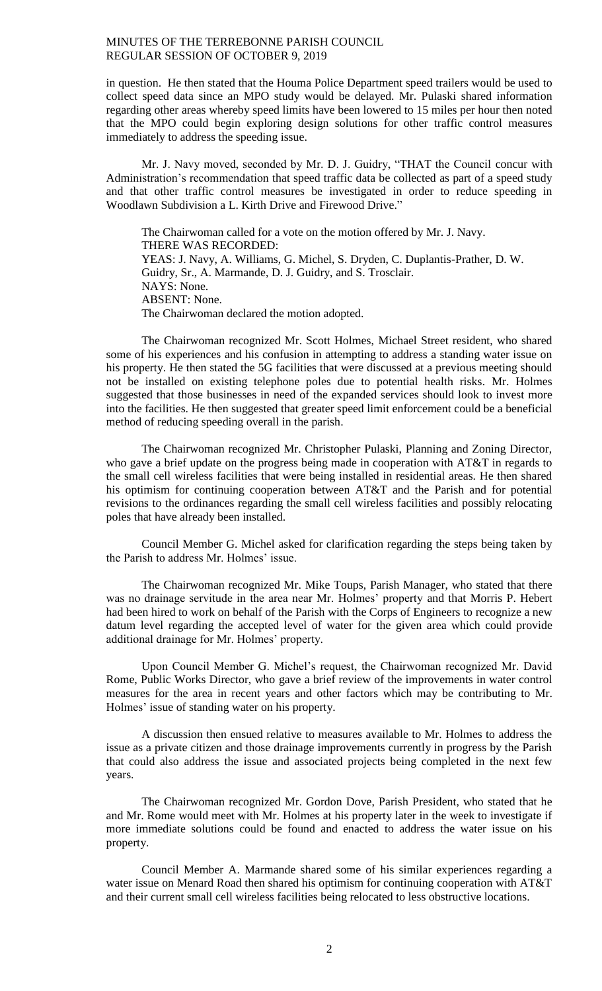in question. He then stated that the Houma Police Department speed trailers would be used to collect speed data since an MPO study would be delayed. Mr. Pulaski shared information regarding other areas whereby speed limits have been lowered to 15 miles per hour then noted that the MPO could begin exploring design solutions for other traffic control measures immediately to address the speeding issue.

Mr. J. Navy moved, seconded by Mr. D. J. Guidry, "THAT the Council concur with Administration's recommendation that speed traffic data be collected as part of a speed study and that other traffic control measures be investigated in order to reduce speeding in Woodlawn Subdivision a L. Kirth Drive and Firewood Drive."

The Chairwoman called for a vote on the motion offered by Mr. J. Navy. THERE WAS RECORDED: YEAS: J. Navy, A. Williams, G. Michel, S. Dryden, C. Duplantis-Prather, D. W. Guidry, Sr., A. Marmande, D. J. Guidry, and S. Trosclair. NAYS: None. ABSENT: None. The Chairwoman declared the motion adopted.

The Chairwoman recognized Mr. Scott Holmes, Michael Street resident, who shared some of his experiences and his confusion in attempting to address a standing water issue on his property. He then stated the 5G facilities that were discussed at a previous meeting should not be installed on existing telephone poles due to potential health risks. Mr. Holmes suggested that those businesses in need of the expanded services should look to invest more into the facilities. He then suggested that greater speed limit enforcement could be a beneficial method of reducing speeding overall in the parish.

The Chairwoman recognized Mr. Christopher Pulaski, Planning and Zoning Director, who gave a brief update on the progress being made in cooperation with AT&T in regards to the small cell wireless facilities that were being installed in residential areas. He then shared his optimism for continuing cooperation between AT&T and the Parish and for potential revisions to the ordinances regarding the small cell wireless facilities and possibly relocating poles that have already been installed.

Council Member G. Michel asked for clarification regarding the steps being taken by the Parish to address Mr. Holmes' issue.

The Chairwoman recognized Mr. Mike Toups, Parish Manager, who stated that there was no drainage servitude in the area near Mr. Holmes' property and that Morris P. Hebert had been hired to work on behalf of the Parish with the Corps of Engineers to recognize a new datum level regarding the accepted level of water for the given area which could provide additional drainage for Mr. Holmes' property.

Upon Council Member G. Michel's request, the Chairwoman recognized Mr. David Rome, Public Works Director, who gave a brief review of the improvements in water control measures for the area in recent years and other factors which may be contributing to Mr. Holmes' issue of standing water on his property.

A discussion then ensued relative to measures available to Mr. Holmes to address the issue as a private citizen and those drainage improvements currently in progress by the Parish that could also address the issue and associated projects being completed in the next few years.

The Chairwoman recognized Mr. Gordon Dove, Parish President, who stated that he and Mr. Rome would meet with Mr. Holmes at his property later in the week to investigate if more immediate solutions could be found and enacted to address the water issue on his property.

Council Member A. Marmande shared some of his similar experiences regarding a water issue on Menard Road then shared his optimism for continuing cooperation with AT&T and their current small cell wireless facilities being relocated to less obstructive locations.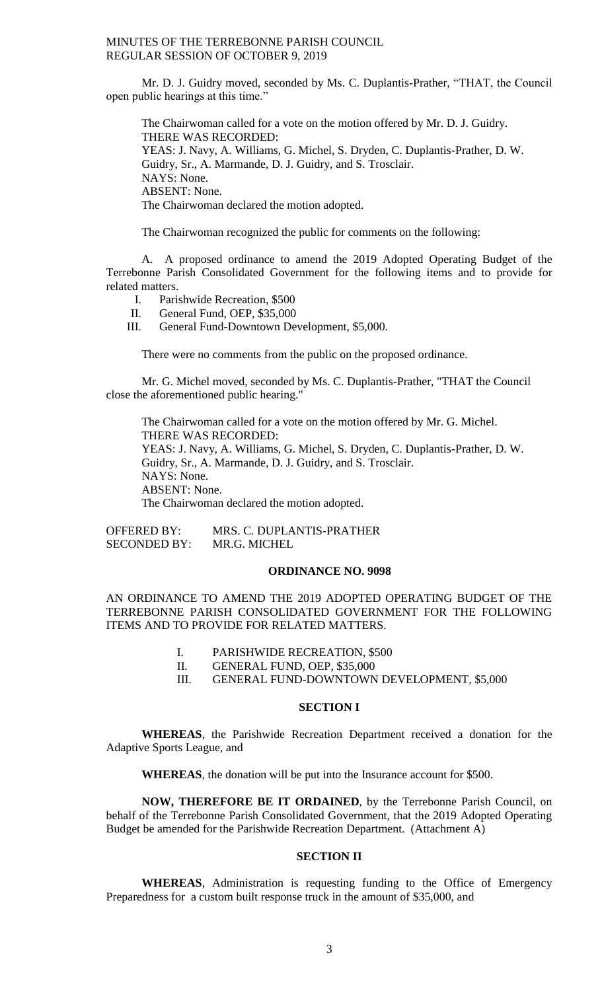Mr. D. J. Guidry moved, seconded by Ms. C. Duplantis-Prather, "THAT, the Council open public hearings at this time."

The Chairwoman called for a vote on the motion offered by Mr. D. J. Guidry. THERE WAS RECORDED: YEAS: J. Navy, A. Williams, G. Michel, S. Dryden, C. Duplantis-Prather, D. W. Guidry, Sr., A. Marmande, D. J. Guidry, and S. Trosclair. NAYS: None. ABSENT: None. The Chairwoman declared the motion adopted.

The Chairwoman recognized the public for comments on the following:

A. A proposed ordinance to amend the 2019 Adopted Operating Budget of the Terrebonne Parish Consolidated Government for the following items and to provide for related matters.

- I. Parishwide Recreation, \$500
- II. General Fund, OEP, \$35,000
- III. General Fund-Downtown Development, \$5,000.

There were no comments from the public on the proposed ordinance.

Mr. G. Michel moved, seconded by Ms. C. Duplantis-Prather, "THAT the Council close the aforementioned public hearing."

The Chairwoman called for a vote on the motion offered by Mr. G. Michel. THERE WAS RECORDED: YEAS: J. Navy, A. Williams, G. Michel, S. Dryden, C. Duplantis-Prather, D. W. Guidry, Sr., A. Marmande, D. J. Guidry, and S. Trosclair. NAYS: None. ABSENT: None. The Chairwoman declared the motion adopted.

OFFERED BY: MRS. C. DUPLANTIS-PRATHER SECONDED BY: MR.G. MICHEL

### **ORDINANCE NO. 9098**

AN ORDINANCE TO AMEND THE 2019 ADOPTED OPERATING BUDGET OF THE TERREBONNE PARISH CONSOLIDATED GOVERNMENT FOR THE FOLLOWING ITEMS AND TO PROVIDE FOR RELATED MATTERS.

- I. PARISHWIDE RECREATION, \$500
- II. GENERAL FUND, OEP, \$35,000<br>III. GENERAL FUND-DOWNTOWN
- GENERAL FUND-DOWNTOWN DEVELOPMENT, \$5,000

#### **SECTION I**

**WHEREAS**, the Parishwide Recreation Department received a donation for the Adaptive Sports League, and

**WHEREAS**, the donation will be put into the Insurance account for \$500.

**NOW, THEREFORE BE IT ORDAINED**, by the Terrebonne Parish Council, on behalf of the Terrebonne Parish Consolidated Government, that the 2019 Adopted Operating Budget be amended for the Parishwide Recreation Department. (Attachment A)

# **SECTION II**

**WHEREAS**, Administration is requesting funding to the Office of Emergency Preparedness for a custom built response truck in the amount of \$35,000, and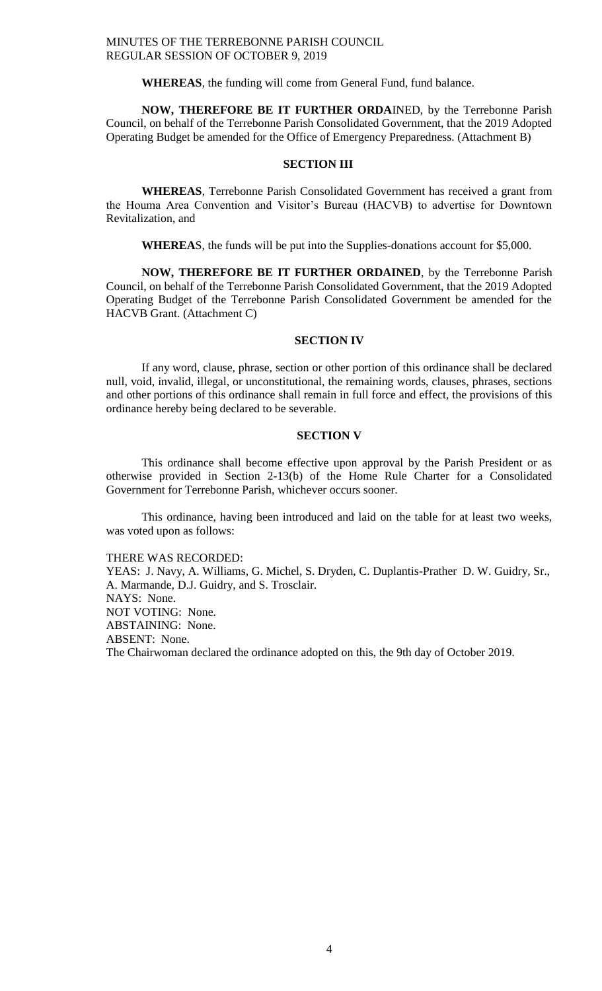**WHEREAS**, the funding will come from General Fund, fund balance.

**NOW, THEREFORE BE IT FURTHER ORDA**INED, by the Terrebonne Parish Council, on behalf of the Terrebonne Parish Consolidated Government, that the 2019 Adopted Operating Budget be amended for the Office of Emergency Preparedness. (Attachment B)

# **SECTION III**

**WHEREAS**, Terrebonne Parish Consolidated Government has received a grant from the Houma Area Convention and Visitor's Bureau (HACVB) to advertise for Downtown Revitalization, and

**WHEREA**S, the funds will be put into the Supplies-donations account for \$5,000.

**NOW, THEREFORE BE IT FURTHER ORDAINED**, by the Terrebonne Parish Council, on behalf of the Terrebonne Parish Consolidated Government, that the 2019 Adopted Operating Budget of the Terrebonne Parish Consolidated Government be amended for the HACVB Grant. (Attachment C)

### **SECTION IV**

If any word, clause, phrase, section or other portion of this ordinance shall be declared null, void, invalid, illegal, or unconstitutional, the remaining words, clauses, phrases, sections and other portions of this ordinance shall remain in full force and effect, the provisions of this ordinance hereby being declared to be severable.

### **SECTION V**

This ordinance shall become effective upon approval by the Parish President or as otherwise provided in Section 2-13(b) of the Home Rule Charter for a Consolidated Government for Terrebonne Parish, whichever occurs sooner.

This ordinance, having been introduced and laid on the table for at least two weeks, was voted upon as follows:

THERE WAS RECORDED:

YEAS: J. Navy, A. Williams, G. Michel, S. Dryden, C. Duplantis-Prather D. W. Guidry, Sr., A. Marmande, D.J. Guidry, and S. Trosclair. NAYS: None. NOT VOTING: None. ABSTAINING: None. ABSENT: None.

The Chairwoman declared the ordinance adopted on this, the 9th day of October 2019.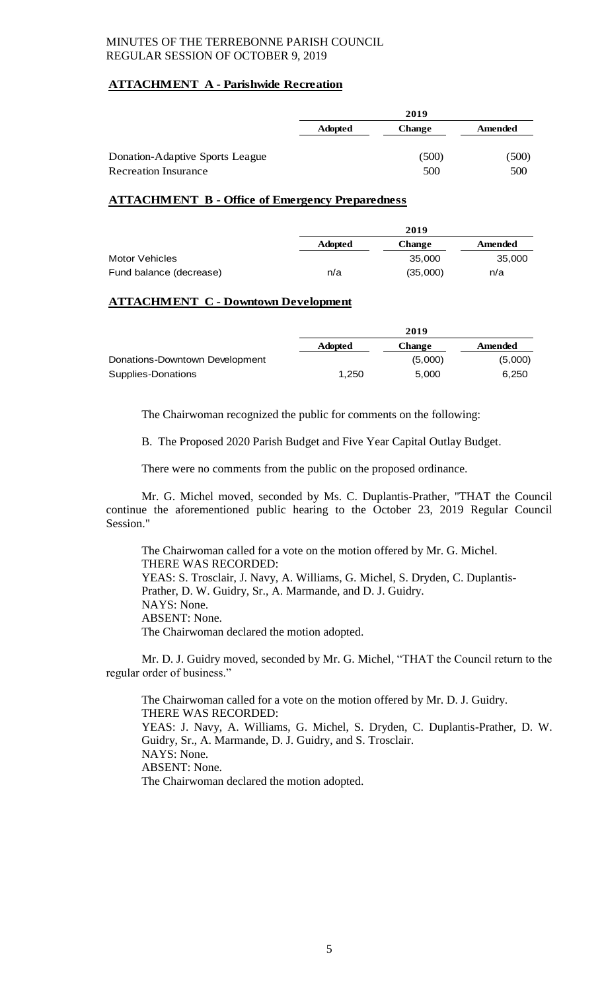# **ATTACHMENT A - Parishwide Recreation**

|                                 | 2019           |               |         |
|---------------------------------|----------------|---------------|---------|
|                                 | <b>Adopted</b> | <b>Change</b> | Amended |
| Donation-Adaptive Sports League |                | (500)         | (500)   |
| <b>Recreation Insurance</b>     |                | 500           | 500     |

# **ATTACHMENT B - Office of Emergency Preparedness**

|                         |                | 2019          |         |
|-------------------------|----------------|---------------|---------|
|                         | <b>Adopted</b> | <b>Change</b> | Amended |
| <b>Motor Vehicles</b>   |                | 35,000        | 35,000  |
| Fund balance (decrease) | n/a            | (35,000)      | n/a     |

# **ATTACHMENT C - Downtown Development**

|                                |                | 2019          |         |
|--------------------------------|----------------|---------------|---------|
|                                | <b>Adopted</b> | <b>Change</b> | Amended |
| Donations-Downtown Development |                | (5,000)       | (5,000) |
| Supplies-Donations             | 1.250          | 5.000         | 6.250   |

The Chairwoman recognized the public for comments on the following:

B. The Proposed 2020 Parish Budget and Five Year Capital Outlay Budget.

There were no comments from the public on the proposed ordinance.

Mr. G. Michel moved, seconded by Ms. C. Duplantis-Prather, "THAT the Council continue the aforementioned public hearing to the October 23, 2019 Regular Council Session."

The Chairwoman called for a vote on the motion offered by Mr. G. Michel. THERE WAS RECORDED: YEAS: S. Trosclair, J. Navy, A. Williams, G. Michel, S. Dryden, C. Duplantis-Prather, D. W. Guidry, Sr., A. Marmande, and D. J. Guidry. NAYS: None. ABSENT: None. The Chairwoman declared the motion adopted.

Mr. D. J. Guidry moved, seconded by Mr. G. Michel, "THAT the Council return to the regular order of business."

The Chairwoman called for a vote on the motion offered by Mr. D. J. Guidry. THERE WAS RECORDED: YEAS: J. Navy, A. Williams, G. Michel, S. Dryden, C. Duplantis-Prather, D. W. Guidry, Sr., A. Marmande, D. J. Guidry, and S. Trosclair. NAYS: None. ABSENT: None. The Chairwoman declared the motion adopted.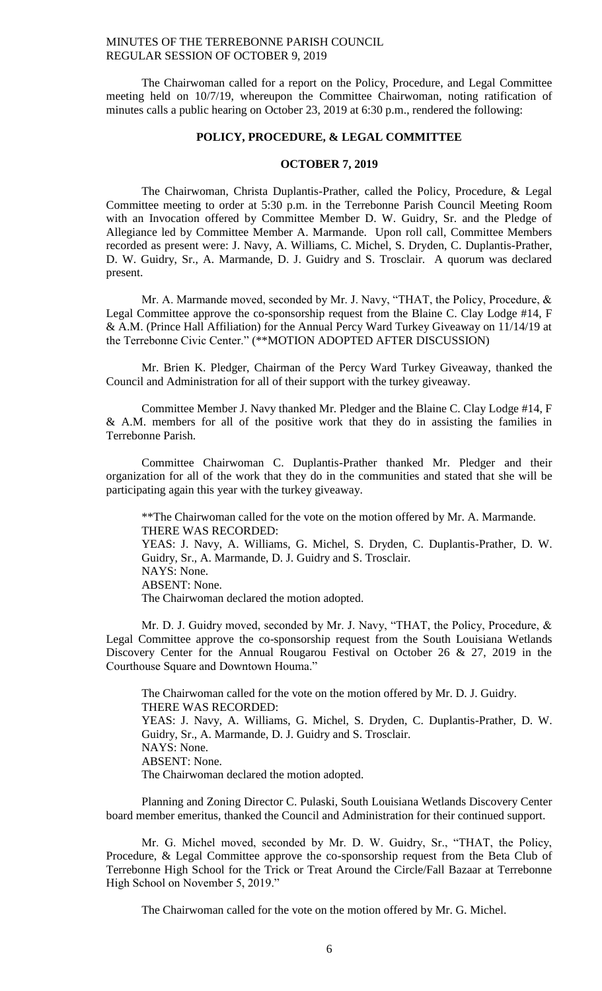The Chairwoman called for a report on the Policy, Procedure, and Legal Committee meeting held on 10/7/19, whereupon the Committee Chairwoman, noting ratification of minutes calls a public hearing on October 23, 2019 at 6:30 p.m., rendered the following:

### **POLICY, PROCEDURE, & LEGAL COMMITTEE**

#### **OCTOBER 7, 2019**

The Chairwoman, Christa Duplantis-Prather, called the Policy, Procedure, & Legal Committee meeting to order at 5:30 p.m. in the Terrebonne Parish Council Meeting Room with an Invocation offered by Committee Member D. W. Guidry, Sr. and the Pledge of Allegiance led by Committee Member A. Marmande. Upon roll call, Committee Members recorded as present were: J. Navy, A. Williams, C. Michel, S. Dryden, C. Duplantis-Prather, D. W. Guidry, Sr., A. Marmande, D. J. Guidry and S. Trosclair. A quorum was declared present.

Mr. A. Marmande moved, seconded by Mr. J. Navy, "THAT, the Policy, Procedure, & Legal Committee approve the co-sponsorship request from the Blaine C. Clay Lodge #14, F & A.M. (Prince Hall Affiliation) for the Annual Percy Ward Turkey Giveaway on 11/14/19 at the Terrebonne Civic Center." (\*\*MOTION ADOPTED AFTER DISCUSSION)

Mr. Brien K. Pledger, Chairman of the Percy Ward Turkey Giveaway, thanked the Council and Administration for all of their support with the turkey giveaway.

Committee Member J. Navy thanked Mr. Pledger and the Blaine C. Clay Lodge #14, F & A.M. members for all of the positive work that they do in assisting the families in Terrebonne Parish.

Committee Chairwoman C. Duplantis-Prather thanked Mr. Pledger and their organization for all of the work that they do in the communities and stated that she will be participating again this year with the turkey giveaway.

\*\*The Chairwoman called for the vote on the motion offered by Mr. A. Marmande. THERE WAS RECORDED: YEAS: J. Navy, A. Williams, G. Michel, S. Dryden, C. Duplantis-Prather, D. W. Guidry, Sr., A. Marmande, D. J. Guidry and S. Trosclair. NAYS: None. ABSENT: None. The Chairwoman declared the motion adopted.

Mr. D. J. Guidry moved, seconded by Mr. J. Navy, "THAT, the Policy, Procedure, & Legal Committee approve the co-sponsorship request from the South Louisiana Wetlands Discovery Center for the Annual Rougarou Festival on October 26 & 27, 2019 in the Courthouse Square and Downtown Houma."

The Chairwoman called for the vote on the motion offered by Mr. D. J. Guidry. THERE WAS RECORDED: YEAS: J. Navy, A. Williams, G. Michel, S. Dryden, C. Duplantis-Prather, D. W. Guidry, Sr., A. Marmande, D. J. Guidry and S. Trosclair. NAYS: None. ABSENT: None. The Chairwoman declared the motion adopted.

Planning and Zoning Director C. Pulaski, South Louisiana Wetlands Discovery Center board member emeritus, thanked the Council and Administration for their continued support.

Mr. G. Michel moved, seconded by Mr. D. W. Guidry, Sr., "THAT, the Policy, Procedure, & Legal Committee approve the co-sponsorship request from the Beta Club of Terrebonne High School for the Trick or Treat Around the Circle/Fall Bazaar at Terrebonne High School on November 5, 2019."

The Chairwoman called for the vote on the motion offered by Mr. G. Michel.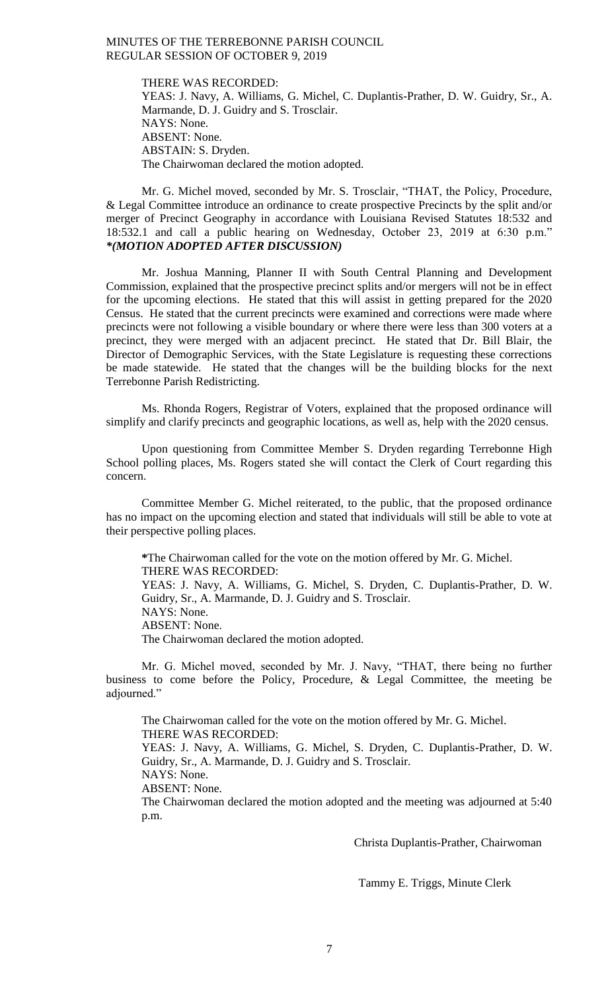THERE WAS RECORDED: YEAS: J. Navy, A. Williams, G. Michel, C. Duplantis-Prather, D. W. Guidry, Sr., A. Marmande, D. J. Guidry and S. Trosclair. NAYS: None. ABSENT: None. ABSTAIN: S. Dryden. The Chairwoman declared the motion adopted.

Mr. G. Michel moved, seconded by Mr. S. Trosclair, "THAT, the Policy, Procedure, & Legal Committee introduce an ordinance to create prospective Precincts by the split and/or merger of Precinct Geography in accordance with Louisiana Revised Statutes 18:532 and 18:532.1 and call a public hearing on Wednesday, October 23, 2019 at 6:30 p.m." *\*(MOTION ADOPTED AFTER DISCUSSION)*

Mr. Joshua Manning, Planner II with South Central Planning and Development Commission, explained that the prospective precinct splits and/or mergers will not be in effect for the upcoming elections. He stated that this will assist in getting prepared for the 2020 Census. He stated that the current precincts were examined and corrections were made where precincts were not following a visible boundary or where there were less than 300 voters at a precinct, they were merged with an adjacent precinct. He stated that Dr. Bill Blair, the Director of Demographic Services, with the State Legislature is requesting these corrections be made statewide. He stated that the changes will be the building blocks for the next Terrebonne Parish Redistricting.

Ms. Rhonda Rogers, Registrar of Voters, explained that the proposed ordinance will simplify and clarify precincts and geographic locations, as well as, help with the 2020 census.

Upon questioning from Committee Member S. Dryden regarding Terrebonne High School polling places, Ms. Rogers stated she will contact the Clerk of Court regarding this concern.

Committee Member G. Michel reiterated, to the public, that the proposed ordinance has no impact on the upcoming election and stated that individuals will still be able to vote at their perspective polling places.

**\***The Chairwoman called for the vote on the motion offered by Mr. G. Michel. THERE WAS RECORDED: YEAS: J. Navy, A. Williams, G. Michel, S. Dryden, C. Duplantis-Prather, D. W. Guidry, Sr., A. Marmande, D. J. Guidry and S. Trosclair. NAYS: None. ABSENT: None. The Chairwoman declared the motion adopted.

Mr. G. Michel moved, seconded by Mr. J. Navy, "THAT, there being no further business to come before the Policy, Procedure, & Legal Committee, the meeting be adjourned."

The Chairwoman called for the vote on the motion offered by Mr. G. Michel. THERE WAS RECORDED: YEAS: J. Navy, A. Williams, G. Michel, S. Dryden, C. Duplantis-Prather, D. W. Guidry, Sr., A. Marmande, D. J. Guidry and S. Trosclair. NAYS: None. ABSENT: None. The Chairwoman declared the motion adopted and the meeting was adjourned at 5:40 p.m.

Christa Duplantis-Prather, Chairwoman

Tammy E. Triggs, Minute Clerk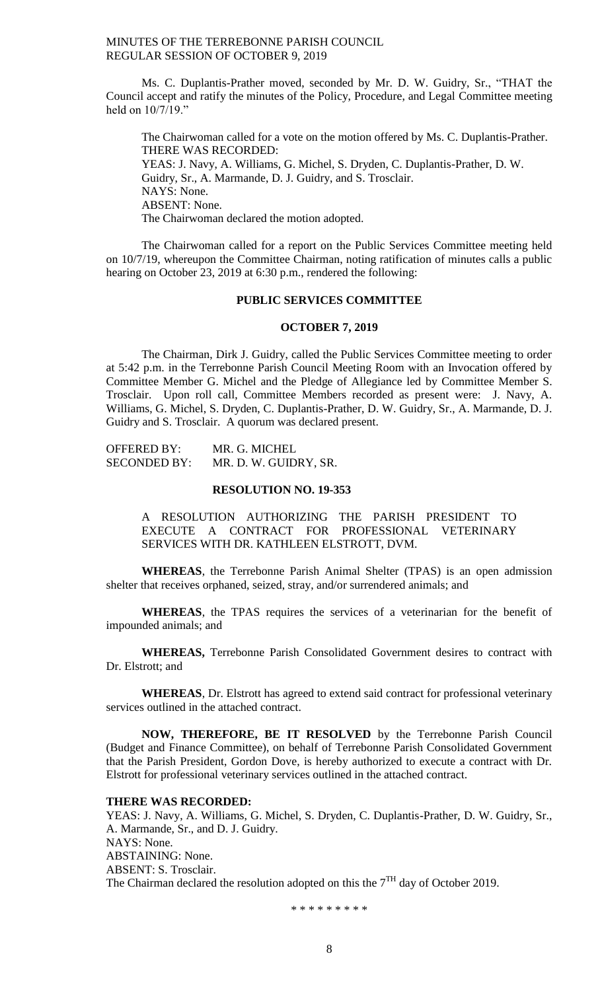Ms. C. Duplantis-Prather moved, seconded by Mr. D. W. Guidry, Sr., "THAT the Council accept and ratify the minutes of the Policy, Procedure, and Legal Committee meeting held on  $10/7/19$ ."

The Chairwoman called for a vote on the motion offered by Ms. C. Duplantis-Prather. THERE WAS RECORDED: YEAS: J. Navy, A. Williams, G. Michel, S. Dryden, C. Duplantis-Prather, D. W. Guidry, Sr., A. Marmande, D. J. Guidry, and S. Trosclair. NAYS: None. ABSENT: None. The Chairwoman declared the motion adopted.

The Chairwoman called for a report on the Public Services Committee meeting held on 10/7/19, whereupon the Committee Chairman, noting ratification of minutes calls a public hearing on October 23, 2019 at 6:30 p.m., rendered the following:

# **PUBLIC SERVICES COMMITTEE**

# **OCTOBER 7, 2019**

The Chairman, Dirk J. Guidry, called the Public Services Committee meeting to order at 5:42 p.m. in the Terrebonne Parish Council Meeting Room with an Invocation offered by Committee Member G. Michel and the Pledge of Allegiance led by Committee Member S. Trosclair. Upon roll call, Committee Members recorded as present were: J. Navy, A. Williams, G. Michel, S. Dryden, C. Duplantis-Prather, D. W. Guidry, Sr., A. Marmande, D. J. Guidry and S. Trosclair. A quorum was declared present.

| <b>OFFERED BY:</b>  | MR. G. MICHEL         |
|---------------------|-----------------------|
| <b>SECONDED BY:</b> | MR. D. W. GUIDRY, SR. |

### **RESOLUTION NO. 19-353**

A RESOLUTION AUTHORIZING THE PARISH PRESIDENT TO EXECUTE A CONTRACT FOR PROFESSIONAL VETERINARY SERVICES WITH DR. KATHLEEN ELSTROTT, DVM.

**WHEREAS**, the Terrebonne Parish Animal Shelter (TPAS) is an open admission shelter that receives orphaned, seized, stray, and/or surrendered animals; and

**WHEREAS**, the TPAS requires the services of a veterinarian for the benefit of impounded animals; and

**WHEREAS,** Terrebonne Parish Consolidated Government desires to contract with Dr. Elstrott; and

**WHEREAS**, Dr. Elstrott has agreed to extend said contract for professional veterinary services outlined in the attached contract.

**NOW, THEREFORE, BE IT RESOLVED** by the Terrebonne Parish Council (Budget and Finance Committee), on behalf of Terrebonne Parish Consolidated Government that the Parish President, Gordon Dove, is hereby authorized to execute a contract with Dr. Elstrott for professional veterinary services outlined in the attached contract.

#### **THERE WAS RECORDED:**

YEAS: J. Navy, A. Williams, G. Michel, S. Dryden, C. Duplantis-Prather, D. W. Guidry, Sr., A. Marmande, Sr., and D. J. Guidry. NAYS: None. ABSTAINING: None. ABSENT: S. Trosclair. The Chairman declared the resolution adopted on this the  $7<sup>TH</sup>$  day of October 2019.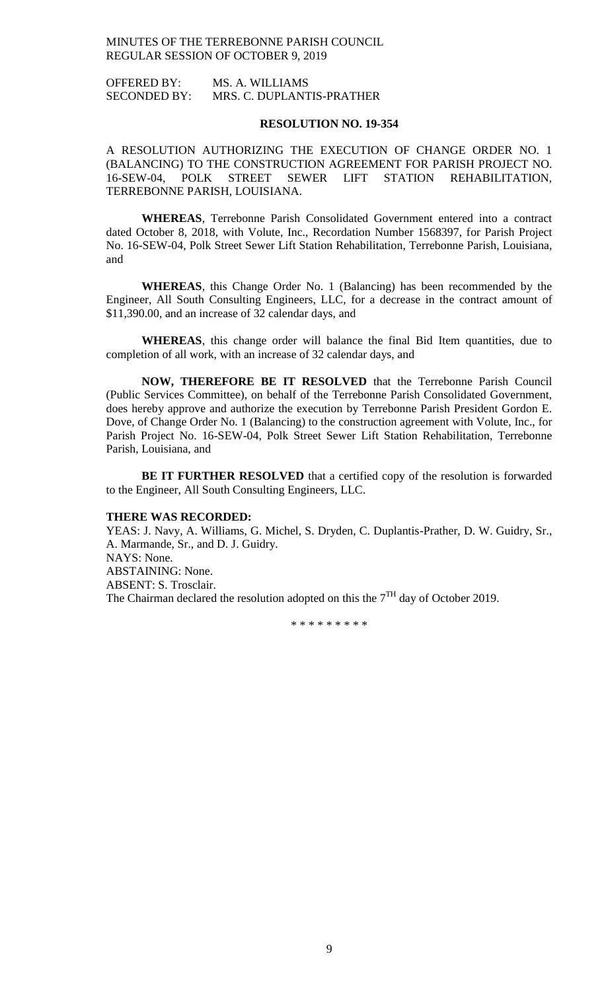OFFERED BY: MS. A. WILLIAMS SECONDED BY: MRS. C. DUPLANTIS-PRATHER

### **RESOLUTION NO. 19-354**

A RESOLUTION AUTHORIZING THE EXECUTION OF CHANGE ORDER NO. 1 (BALANCING) TO THE CONSTRUCTION AGREEMENT FOR PARISH PROJECT NO.<br>16-SEW-04, POLK STREET SEWER LIFT STATION REHABILITATION, 16-SEW-04, POLK STREET SEWER LIFT STATION REHABILITATION, TERREBONNE PARISH, LOUISIANA.

**WHEREAS**, Terrebonne Parish Consolidated Government entered into a contract dated October 8, 2018, with Volute, Inc., Recordation Number 1568397, for Parish Project No. 16-SEW-04, Polk Street Sewer Lift Station Rehabilitation, Terrebonne Parish, Louisiana, and

**WHEREAS**, this Change Order No. 1 (Balancing) has been recommended by the Engineer, All South Consulting Engineers, LLC, for a decrease in the contract amount of \$11,390.00, and an increase of 32 calendar days, and

**WHEREAS**, this change order will balance the final Bid Item quantities, due to completion of all work, with an increase of 32 calendar days, and

**NOW, THEREFORE BE IT RESOLVED** that the Terrebonne Parish Council (Public Services Committee), on behalf of the Terrebonne Parish Consolidated Government, does hereby approve and authorize the execution by Terrebonne Parish President Gordon E. Dove, of Change Order No. 1 (Balancing) to the construction agreement with Volute, Inc., for Parish Project No. 16-SEW-04, Polk Street Sewer Lift Station Rehabilitation, Terrebonne Parish, Louisiana, and

BE IT FURTHER RESOLVED that a certified copy of the resolution is forwarded to the Engineer, All South Consulting Engineers, LLC.

#### **THERE WAS RECORDED:**

YEAS: J. Navy, A. Williams, G. Michel, S. Dryden, C. Duplantis-Prather, D. W. Guidry, Sr., A. Marmande, Sr., and D. J. Guidry. NAYS: None. ABSTAINING: None. ABSENT: S. Trosclair. The Chairman declared the resolution adopted on this the  $7<sup>TH</sup>$  day of October 2019.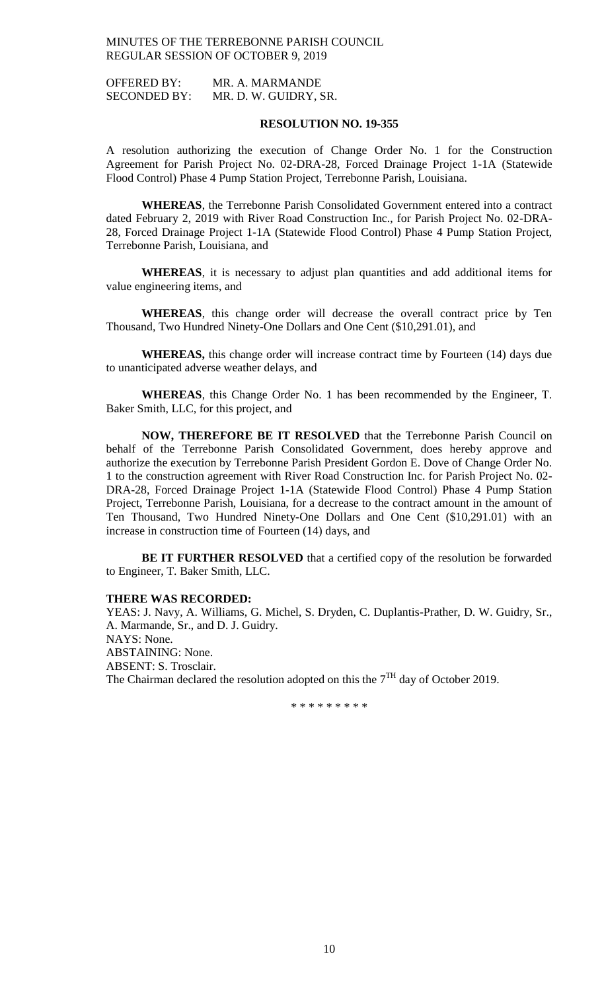OFFERED BY: MR. A. MARMANDE SECONDED BY: MR. D. W. GUIDRY, SR.

# **RESOLUTION NO. 19-355**

A resolution authorizing the execution of Change Order No. 1 for the Construction Agreement for Parish Project No. 02-DRA-28, Forced Drainage Project 1-1A (Statewide Flood Control) Phase 4 Pump Station Project, Terrebonne Parish, Louisiana.

**WHEREAS**, the Terrebonne Parish Consolidated Government entered into a contract dated February 2, 2019 with River Road Construction Inc., for Parish Project No. 02-DRA-28, Forced Drainage Project 1-1A (Statewide Flood Control) Phase 4 Pump Station Project, Terrebonne Parish, Louisiana, and

**WHEREAS**, it is necessary to adjust plan quantities and add additional items for value engineering items, and

**WHEREAS**, this change order will decrease the overall contract price by Ten Thousand, Two Hundred Ninety-One Dollars and One Cent (\$10,291.01), and

**WHEREAS,** this change order will increase contract time by Fourteen (14) days due to unanticipated adverse weather delays, and

**WHEREAS**, this Change Order No. 1 has been recommended by the Engineer, T. Baker Smith, LLC, for this project, and

**NOW, THEREFORE BE IT RESOLVED** that the Terrebonne Parish Council on behalf of the Terrebonne Parish Consolidated Government, does hereby approve and authorize the execution by Terrebonne Parish President Gordon E. Dove of Change Order No. 1 to the construction agreement with River Road Construction Inc. for Parish Project No. 02- DRA-28, Forced Drainage Project 1-1A (Statewide Flood Control) Phase 4 Pump Station Project, Terrebonne Parish, Louisiana, for a decrease to the contract amount in the amount of Ten Thousand, Two Hundred Ninety-One Dollars and One Cent (\$10,291.01) with an increase in construction time of Fourteen (14) days, and

**BE IT FURTHER RESOLVED** that a certified copy of the resolution be forwarded to Engineer, T. Baker Smith, LLC.

# **THERE WAS RECORDED:**

YEAS: J. Navy, A. Williams, G. Michel, S. Dryden, C. Duplantis-Prather, D. W. Guidry, Sr., A. Marmande, Sr., and D. J. Guidry. NAYS: None. ABSTAINING: None. ABSENT: S. Trosclair. The Chairman declared the resolution adopted on this the  $7<sup>TH</sup>$  day of October 2019.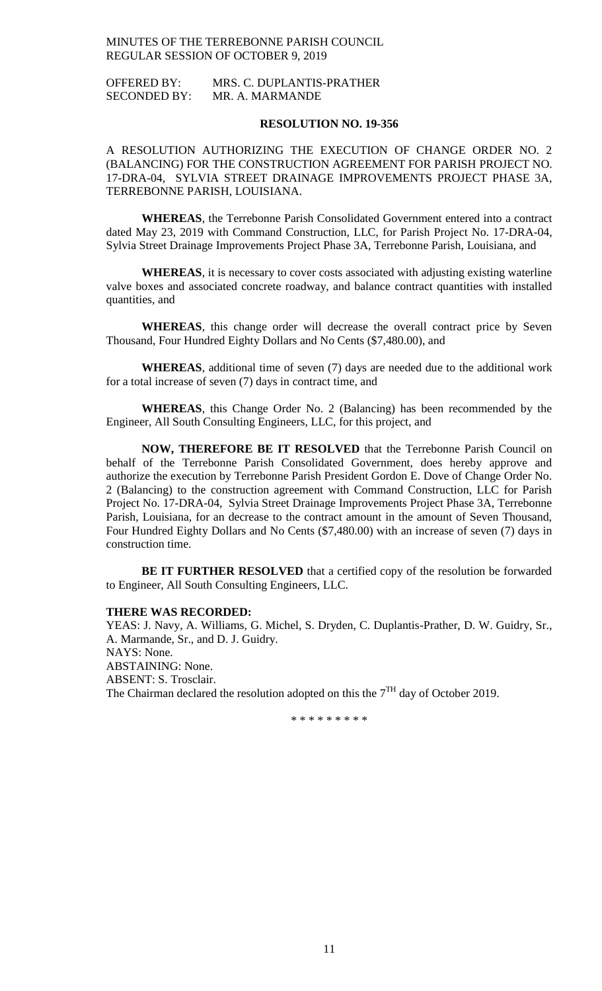# OFFERED BY: MRS. C. DUPLANTIS-PRATHER SECONDED BY: MR. A. MARMANDE

# **RESOLUTION NO. 19-356**

A RESOLUTION AUTHORIZING THE EXECUTION OF CHANGE ORDER NO. 2 (BALANCING) FOR THE CONSTRUCTION AGREEMENT FOR PARISH PROJECT NO. 17-DRA-04, SYLVIA STREET DRAINAGE IMPROVEMENTS PROJECT PHASE 3A, TERREBONNE PARISH, LOUISIANA.

**WHEREAS**, the Terrebonne Parish Consolidated Government entered into a contract dated May 23, 2019 with Command Construction, LLC, for Parish Project No. 17-DRA-04, Sylvia Street Drainage Improvements Project Phase 3A, Terrebonne Parish, Louisiana, and

**WHEREAS**, it is necessary to cover costs associated with adjusting existing waterline valve boxes and associated concrete roadway, and balance contract quantities with installed quantities, and

**WHEREAS**, this change order will decrease the overall contract price by Seven Thousand, Four Hundred Eighty Dollars and No Cents (\$7,480.00), and

**WHEREAS**, additional time of seven (7) days are needed due to the additional work for a total increase of seven (7) days in contract time, and

**WHEREAS**, this Change Order No. 2 (Balancing) has been recommended by the Engineer, All South Consulting Engineers, LLC, for this project, and

**NOW, THEREFORE BE IT RESOLVED** that the Terrebonne Parish Council on behalf of the Terrebonne Parish Consolidated Government, does hereby approve and authorize the execution by Terrebonne Parish President Gordon E. Dove of Change Order No. 2 (Balancing) to the construction agreement with Command Construction, LLC for Parish Project No. 17-DRA-04, Sylvia Street Drainage Improvements Project Phase 3A, Terrebonne Parish, Louisiana, for an decrease to the contract amount in the amount of Seven Thousand, Four Hundred Eighty Dollars and No Cents (\$7,480.00) with an increase of seven (7) days in construction time.

**BE IT FURTHER RESOLVED** that a certified copy of the resolution be forwarded to Engineer, All South Consulting Engineers, LLC.

### **THERE WAS RECORDED:**

YEAS: J. Navy, A. Williams, G. Michel, S. Dryden, C. Duplantis-Prather, D. W. Guidry, Sr., A. Marmande, Sr., and D. J. Guidry. NAYS: None. ABSTAINING: None. ABSENT: S. Trosclair. The Chairman declared the resolution adopted on this the  $7<sup>TH</sup>$  day of October 2019.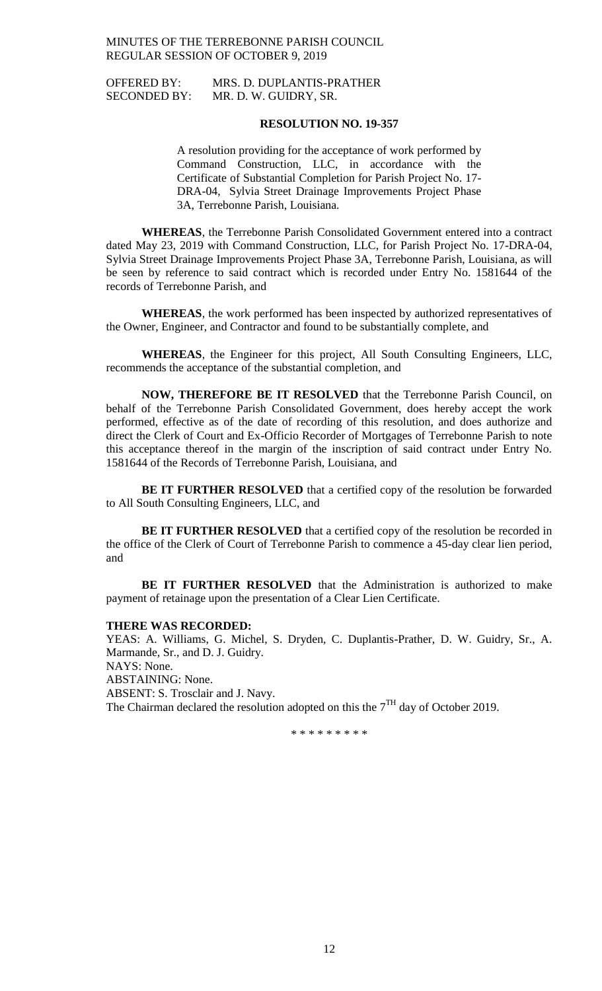OFFERED BY: MRS. D. DUPLANTIS-PRATHER SECONDED BY: MR. D. W. GUIDRY, SR.

# **RESOLUTION NO. 19-357**

A resolution providing for the acceptance of work performed by Command Construction, LLC, in accordance with the Certificate of Substantial Completion for Parish Project No. 17- DRA-04, Sylvia Street Drainage Improvements Project Phase 3A, Terrebonne Parish, Louisiana.

**WHEREAS**, the Terrebonne Parish Consolidated Government entered into a contract dated May 23, 2019 with Command Construction, LLC, for Parish Project No. 17-DRA-04, Sylvia Street Drainage Improvements Project Phase 3A, Terrebonne Parish, Louisiana, as will be seen by reference to said contract which is recorded under Entry No. 1581644 of the records of Terrebonne Parish, and

**WHEREAS**, the work performed has been inspected by authorized representatives of the Owner, Engineer, and Contractor and found to be substantially complete, and

**WHEREAS**, the Engineer for this project, All South Consulting Engineers, LLC, recommends the acceptance of the substantial completion, and

**NOW, THEREFORE BE IT RESOLVED** that the Terrebonne Parish Council, on behalf of the Terrebonne Parish Consolidated Government, does hereby accept the work performed, effective as of the date of recording of this resolution, and does authorize and direct the Clerk of Court and Ex-Officio Recorder of Mortgages of Terrebonne Parish to note this acceptance thereof in the margin of the inscription of said contract under Entry No. 1581644 of the Records of Terrebonne Parish, Louisiana, and

**BE IT FURTHER RESOLVED** that a certified copy of the resolution be forwarded to All South Consulting Engineers, LLC, and

**BE IT FURTHER RESOLVED** that a certified copy of the resolution be recorded in the office of the Clerk of Court of Terrebonne Parish to commence a 45-day clear lien period, and

**BE IT FURTHER RESOLVED** that the Administration is authorized to make payment of retainage upon the presentation of a Clear Lien Certificate.

#### **THERE WAS RECORDED:**

YEAS: A. Williams, G. Michel, S. Dryden, C. Duplantis-Prather, D. W. Guidry, Sr., A. Marmande, Sr., and D. J. Guidry. NAYS: None. ABSTAINING: None. ABSENT: S. Trosclair and J. Navy. The Chairman declared the resolution adopted on this the  $7<sup>TH</sup>$  day of October 2019.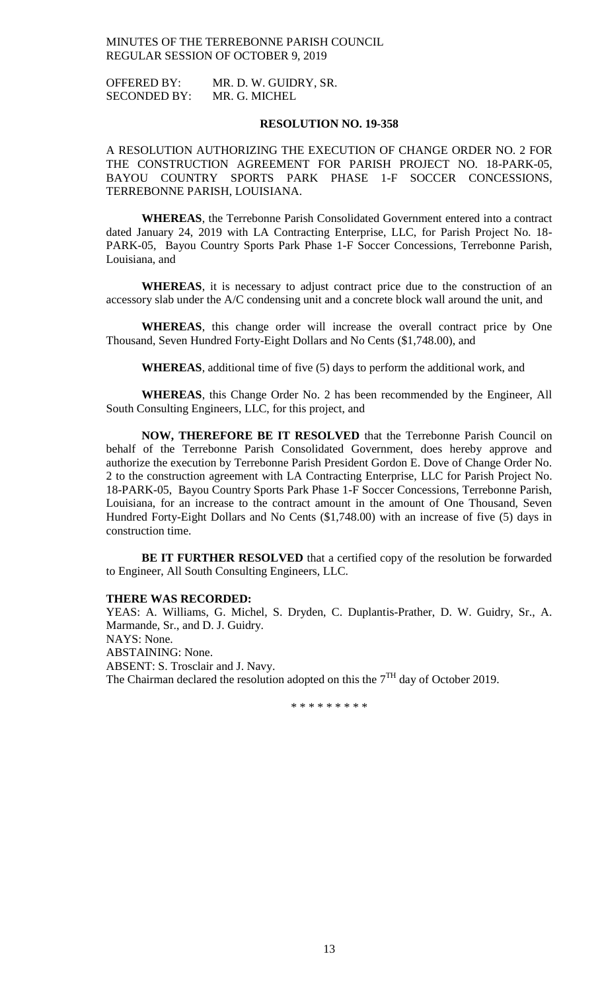OFFERED BY: MR. D. W. GUIDRY, SR. SECONDED BY: MR. G. MICHEL

## **RESOLUTION NO. 19-358**

A RESOLUTION AUTHORIZING THE EXECUTION OF CHANGE ORDER NO. 2 FOR THE CONSTRUCTION AGREEMENT FOR PARISH PROJECT NO. 18-PARK-05, BAYOU COUNTRY SPORTS PARK PHASE 1-F SOCCER CONCESSIONS, TERREBONNE PARISH, LOUISIANA.

**WHEREAS**, the Terrebonne Parish Consolidated Government entered into a contract dated January 24, 2019 with LA Contracting Enterprise, LLC, for Parish Project No. 18- PARK-05, Bayou Country Sports Park Phase 1-F Soccer Concessions, Terrebonne Parish, Louisiana, and

**WHEREAS**, it is necessary to adjust contract price due to the construction of an accessory slab under the A/C condensing unit and a concrete block wall around the unit, and

**WHEREAS**, this change order will increase the overall contract price by One Thousand, Seven Hundred Forty-Eight Dollars and No Cents (\$1,748.00), and

**WHEREAS**, additional time of five (5) days to perform the additional work, and

**WHEREAS**, this Change Order No. 2 has been recommended by the Engineer, All South Consulting Engineers, LLC, for this project, and

**NOW, THEREFORE BE IT RESOLVED** that the Terrebonne Parish Council on behalf of the Terrebonne Parish Consolidated Government, does hereby approve and authorize the execution by Terrebonne Parish President Gordon E. Dove of Change Order No. 2 to the construction agreement with LA Contracting Enterprise, LLC for Parish Project No. 18-PARK-05, Bayou Country Sports Park Phase 1-F Soccer Concessions, Terrebonne Parish, Louisiana, for an increase to the contract amount in the amount of One Thousand, Seven Hundred Forty-Eight Dollars and No Cents (\$1,748.00) with an increase of five (5) days in construction time.

**BE IT FURTHER RESOLVED** that a certified copy of the resolution be forwarded to Engineer, All South Consulting Engineers, LLC.

### **THERE WAS RECORDED:**

YEAS: A. Williams, G. Michel, S. Dryden, C. Duplantis-Prather, D. W. Guidry, Sr., A. Marmande, Sr., and D. J. Guidry. NAYS: None. ABSTAINING: None. ABSENT: S. Trosclair and J. Navy. The Chairman declared the resolution adopted on this the  $7<sup>TH</sup>$  day of October 2019.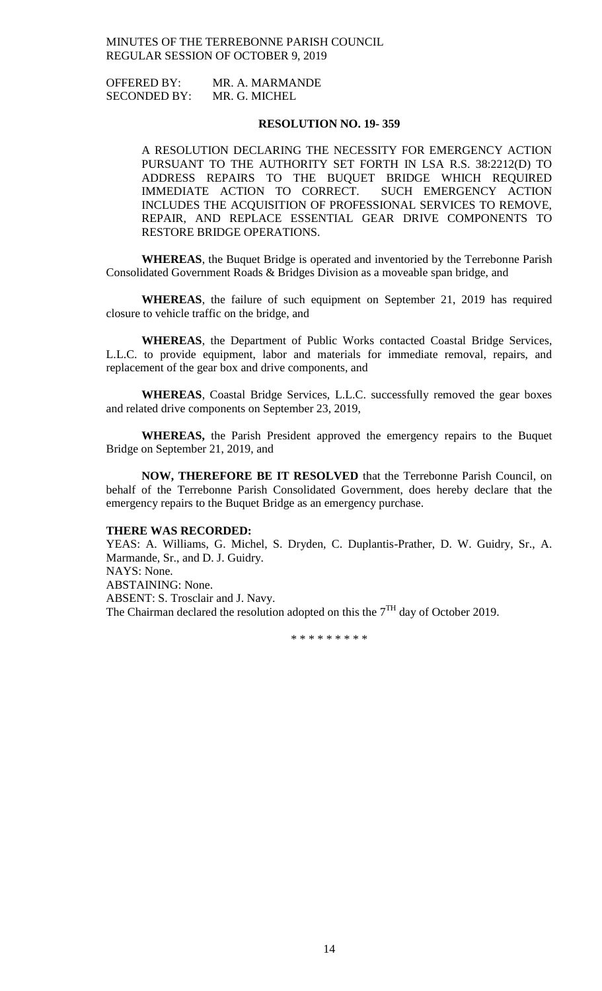OFFERED BY: MR. A. MARMANDE SECONDED BY: MR. G. MICHEL

### **RESOLUTION NO. 19- 359**

A RESOLUTION DECLARING THE NECESSITY FOR EMERGENCY ACTION PURSUANT TO THE AUTHORITY SET FORTH IN LSA R.S. 38:2212(D) TO ADDRESS REPAIRS TO THE BUQUET BRIDGE WHICH REQUIRED IMMEDIATE ACTION TO CORRECT. SUCH EMERGENCY ACTION INCLUDES THE ACQUISITION OF PROFESSIONAL SERVICES TO REMOVE, REPAIR, AND REPLACE ESSENTIAL GEAR DRIVE COMPONENTS TO RESTORE BRIDGE OPERATIONS.

**WHEREAS**, the Buquet Bridge is operated and inventoried by the Terrebonne Parish Consolidated Government Roads & Bridges Division as a moveable span bridge, and

**WHEREAS**, the failure of such equipment on September 21, 2019 has required closure to vehicle traffic on the bridge, and

**WHEREAS**, the Department of Public Works contacted Coastal Bridge Services, L.L.C. to provide equipment, labor and materials for immediate removal, repairs, and replacement of the gear box and drive components, and

**WHEREAS**, Coastal Bridge Services, L.L.C. successfully removed the gear boxes and related drive components on September 23, 2019,

**WHEREAS,** the Parish President approved the emergency repairs to the Buquet Bridge on September 21, 2019, and

**NOW, THEREFORE BE IT RESOLVED** that the Terrebonne Parish Council, on behalf of the Terrebonne Parish Consolidated Government, does hereby declare that the emergency repairs to the Buquet Bridge as an emergency purchase.

#### **THERE WAS RECORDED:**

YEAS: A. Williams, G. Michel, S. Dryden, C. Duplantis-Prather, D. W. Guidry, Sr., A. Marmande, Sr., and D. J. Guidry. NAYS: None. ABSTAINING: None. ABSENT: S. Trosclair and J. Navy. The Chairman declared the resolution adopted on this the  $7<sup>TH</sup>$  day of October 2019.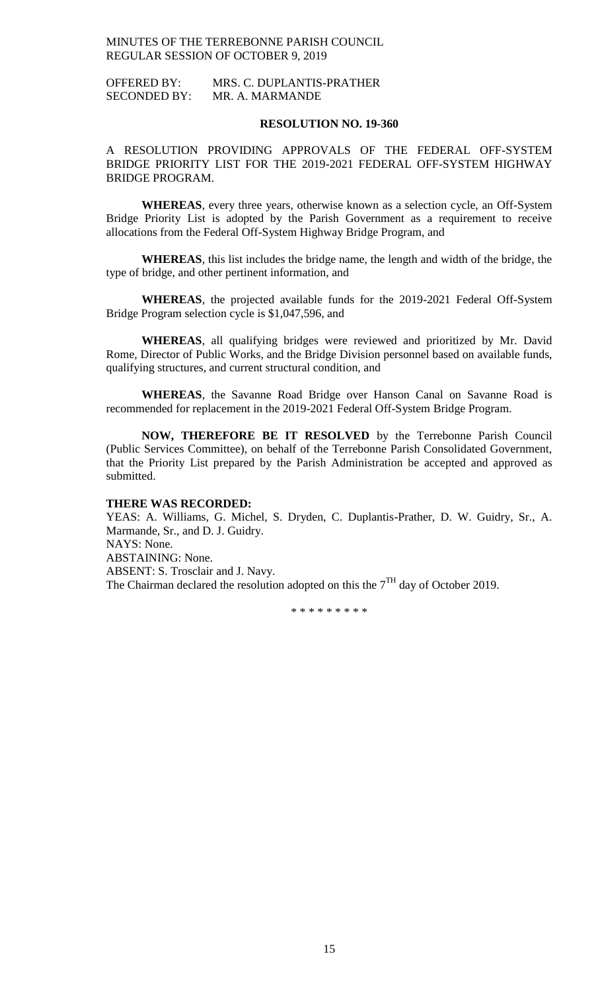OFFERED BY: MRS. C. DUPLANTIS-PRATHER SECONDED BY: MR. A. MARMANDE

# **RESOLUTION NO. 19-360**

A RESOLUTION PROVIDING APPROVALS OF THE FEDERAL OFF-SYSTEM BRIDGE PRIORITY LIST FOR THE 2019-2021 FEDERAL OFF-SYSTEM HIGHWAY BRIDGE PROGRAM.

**WHEREAS**, every three years, otherwise known as a selection cycle, an Off-System Bridge Priority List is adopted by the Parish Government as a requirement to receive allocations from the Federal Off-System Highway Bridge Program, and

**WHEREAS**, this list includes the bridge name, the length and width of the bridge, the type of bridge, and other pertinent information, and

**WHEREAS**, the projected available funds for the 2019-2021 Federal Off-System Bridge Program selection cycle is \$1,047,596, and

**WHEREAS**, all qualifying bridges were reviewed and prioritized by Mr. David Rome, Director of Public Works, and the Bridge Division personnel based on available funds, qualifying structures, and current structural condition, and

**WHEREAS**, the Savanne Road Bridge over Hanson Canal on Savanne Road is recommended for replacement in the 2019-2021 Federal Off-System Bridge Program.

**NOW, THEREFORE BE IT RESOLVED** by the Terrebonne Parish Council (Public Services Committee), on behalf of the Terrebonne Parish Consolidated Government, that the Priority List prepared by the Parish Administration be accepted and approved as submitted.

#### **THERE WAS RECORDED:**

YEAS: A. Williams, G. Michel, S. Dryden, C. Duplantis-Prather, D. W. Guidry, Sr., A. Marmande, Sr., and D. J. Guidry. NAYS: None. ABSTAINING: None. ABSENT: S. Trosclair and J. Navy. The Chairman declared the resolution adopted on this the  $7<sup>TH</sup>$  day of October 2019.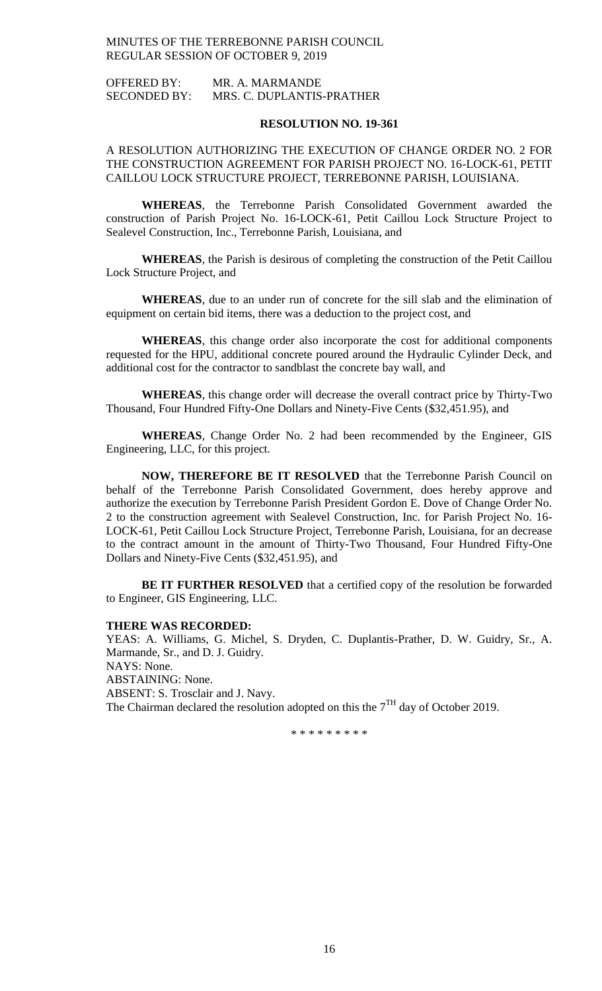OFFERED BY: MR. A. MARMANDE SECONDED BY: MRS. C. DUPLANTIS-PRATHER

### **RESOLUTION NO. 19-361**

A RESOLUTION AUTHORIZING THE EXECUTION OF CHANGE ORDER NO. 2 FOR THE CONSTRUCTION AGREEMENT FOR PARISH PROJECT NO. 16-LOCK-61, PETIT CAILLOU LOCK STRUCTURE PROJECT, TERREBONNE PARISH, LOUISIANA.

**WHEREAS**, the Terrebonne Parish Consolidated Government awarded the construction of Parish Project No. 16-LOCK-61, Petit Caillou Lock Structure Project to Sealevel Construction, Inc., Terrebonne Parish, Louisiana, and

**WHEREAS**, the Parish is desirous of completing the construction of the Petit Caillou Lock Structure Project, and

**WHEREAS**, due to an under run of concrete for the sill slab and the elimination of equipment on certain bid items, there was a deduction to the project cost, and

**WHEREAS**, this change order also incorporate the cost for additional components requested for the HPU, additional concrete poured around the Hydraulic Cylinder Deck, and additional cost for the contractor to sandblast the concrete bay wall, and

**WHEREAS**, this change order will decrease the overall contract price by Thirty-Two Thousand, Four Hundred Fifty-One Dollars and Ninety-Five Cents (\$32,451.95), and

**WHEREAS**, Change Order No. 2 had been recommended by the Engineer, GIS Engineering, LLC, for this project.

**NOW, THEREFORE BE IT RESOLVED** that the Terrebonne Parish Council on behalf of the Terrebonne Parish Consolidated Government, does hereby approve and authorize the execution by Terrebonne Parish President Gordon E. Dove of Change Order No. 2 to the construction agreement with Sealevel Construction, Inc. for Parish Project No. 16- LOCK-61, Petit Caillou Lock Structure Project, Terrebonne Parish, Louisiana, for an decrease to the contract amount in the amount of Thirty-Two Thousand, Four Hundred Fifty-One Dollars and Ninety-Five Cents (\$32,451.95), and

**BE IT FURTHER RESOLVED** that a certified copy of the resolution be forwarded to Engineer, GIS Engineering, LLC.

#### **THERE WAS RECORDED:**

YEAS: A. Williams, G. Michel, S. Dryden, C. Duplantis-Prather, D. W. Guidry, Sr., A. Marmande, Sr., and D. J. Guidry. NAYS: None. ABSTAINING: None. ABSENT: S. Trosclair and J. Navy. The Chairman declared the resolution adopted on this the  $7<sup>TH</sup>$  day of October 2019.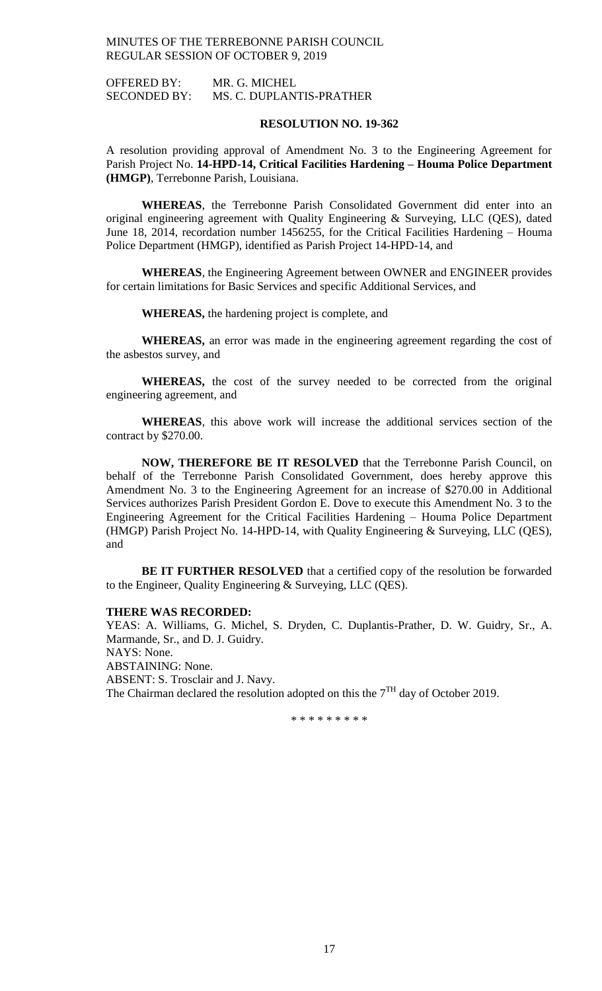OFFERED BY: MR. G. MICHEL SECONDED BY: MS. C. DUPLANTIS-PRATHER

## **RESOLUTION NO. 19-362**

A resolution providing approval of Amendment No. 3 to the Engineering Agreement for Parish Project No. **14-HPD-14, Critical Facilities Hardening – Houma Police Department (HMGP)**, Terrebonne Parish, Louisiana.

**WHEREAS**, the Terrebonne Parish Consolidated Government did enter into an original engineering agreement with Quality Engineering & Surveying, LLC (QES), dated June 18, 2014, recordation number 1456255, for the Critical Facilities Hardening – Houma Police Department (HMGP), identified as Parish Project 14-HPD-14, and

**WHEREAS**, the Engineering Agreement between OWNER and ENGINEER provides for certain limitations for Basic Services and specific Additional Services, and

**WHEREAS,** the hardening project is complete, and

**WHEREAS,** an error was made in the engineering agreement regarding the cost of the asbestos survey, and

**WHEREAS,** the cost of the survey needed to be corrected from the original engineering agreement, and

**WHEREAS**, this above work will increase the additional services section of the contract by \$270.00.

**NOW, THEREFORE BE IT RESOLVED** that the Terrebonne Parish Council, on behalf of the Terrebonne Parish Consolidated Government, does hereby approve this Amendment No. 3 to the Engineering Agreement for an increase of \$270.00 in Additional Services authorizes Parish President Gordon E. Dove to execute this Amendment No. 3 to the Engineering Agreement for the Critical Facilities Hardening – Houma Police Department (HMGP) Parish Project No. 14-HPD-14, with Quality Engineering & Surveying, LLC (QES), and

**BE IT FURTHER RESOLVED** that a certified copy of the resolution be forwarded to the Engineer, Quality Engineering & Surveying, LLC (QES).

#### **THERE WAS RECORDED:**

YEAS: A. Williams, G. Michel, S. Dryden, C. Duplantis-Prather, D. W. Guidry, Sr., A. Marmande, Sr., and D. J. Guidry. NAYS: None. ABSTAINING: None. ABSENT: S. Trosclair and J. Navy. The Chairman declared the resolution adopted on this the  $7<sup>TH</sup>$  day of October 2019.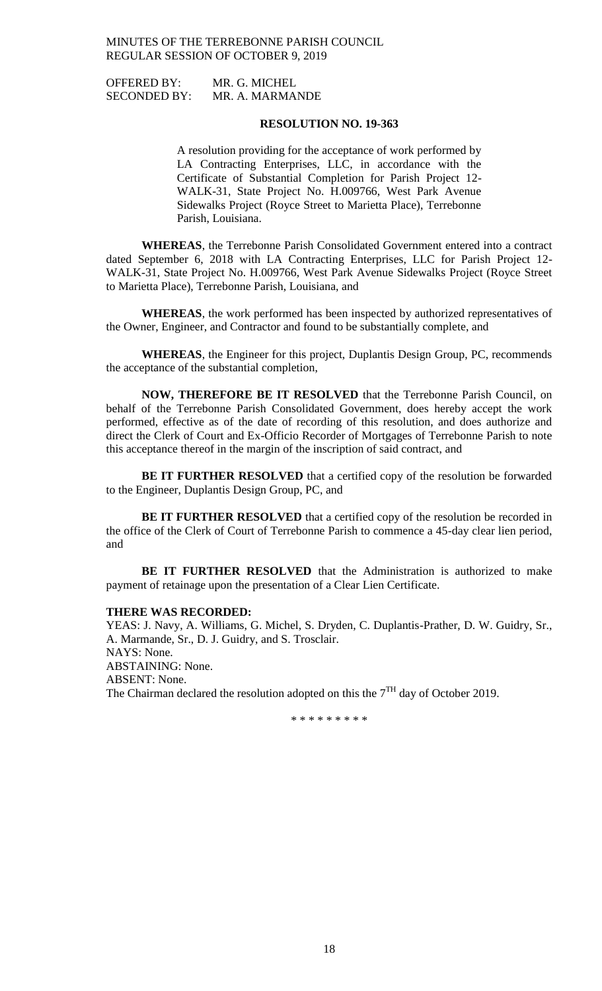OFFERED BY: MR. G. MICHEL SECONDED BY: MR. A. MARMANDE

# **RESOLUTION NO. 19-363**

A resolution providing for the acceptance of work performed by LA Contracting Enterprises, LLC, in accordance with the Certificate of Substantial Completion for Parish Project 12- WALK-31, State Project No. H.009766, West Park Avenue Sidewalks Project (Royce Street to Marietta Place), Terrebonne Parish, Louisiana.

**WHEREAS**, the Terrebonne Parish Consolidated Government entered into a contract dated September 6, 2018 with LA Contracting Enterprises, LLC for Parish Project 12- WALK-31, State Project No. H.009766, West Park Avenue Sidewalks Project (Royce Street to Marietta Place), Terrebonne Parish, Louisiana, and

**WHEREAS**, the work performed has been inspected by authorized representatives of the Owner, Engineer, and Contractor and found to be substantially complete, and

**WHEREAS**, the Engineer for this project, Duplantis Design Group, PC, recommends the acceptance of the substantial completion,

**NOW, THEREFORE BE IT RESOLVED** that the Terrebonne Parish Council, on behalf of the Terrebonne Parish Consolidated Government, does hereby accept the work performed, effective as of the date of recording of this resolution, and does authorize and direct the Clerk of Court and Ex-Officio Recorder of Mortgages of Terrebonne Parish to note this acceptance thereof in the margin of the inscription of said contract, and

**BE IT FURTHER RESOLVED** that a certified copy of the resolution be forwarded to the Engineer, Duplantis Design Group, PC, and

**BE IT FURTHER RESOLVED** that a certified copy of the resolution be recorded in the office of the Clerk of Court of Terrebonne Parish to commence a 45-day clear lien period, and

**BE IT FURTHER RESOLVED** that the Administration is authorized to make payment of retainage upon the presentation of a Clear Lien Certificate.

## **THERE WAS RECORDED:**

YEAS: J. Navy, A. Williams, G. Michel, S. Dryden, C. Duplantis-Prather, D. W. Guidry, Sr., A. Marmande, Sr., D. J. Guidry, and S. Trosclair. NAYS: None. ABSTAINING: None. ABSENT: None. The Chairman declared the resolution adopted on this the  $7<sup>TH</sup>$  day of October 2019.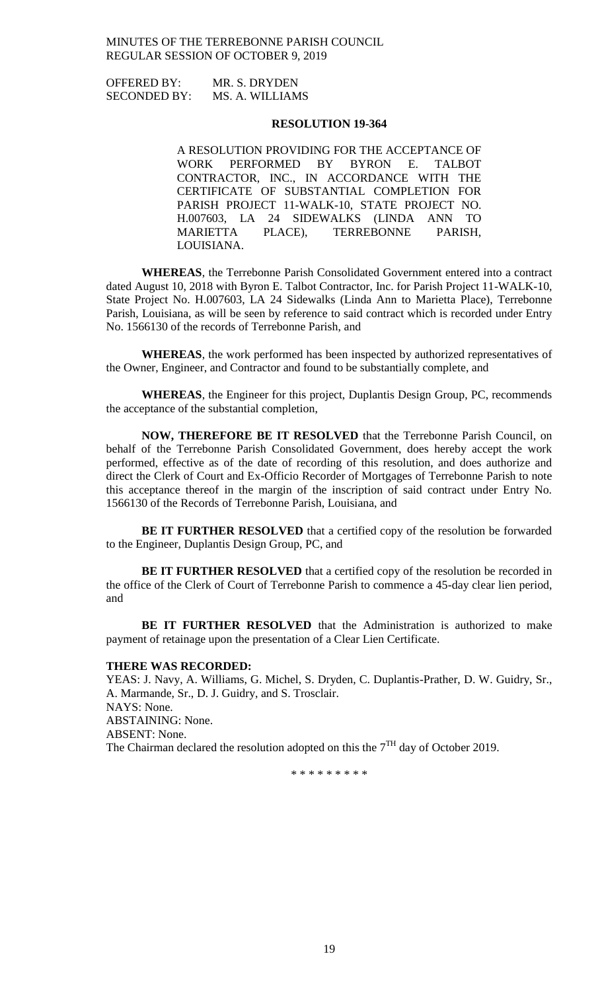| <b>OFFERED BY:</b>  | MR. S. DRYDEN   |
|---------------------|-----------------|
| <b>SECONDED BY:</b> | MS. A. WILLIAMS |

### **RESOLUTION 19-364**

A RESOLUTION PROVIDING FOR THE ACCEPTANCE OF WORK PERFORMED BY BYRON E. TALBOT CONTRACTOR, INC., IN ACCORDANCE WITH THE CERTIFICATE OF SUBSTANTIAL COMPLETION FOR PARISH PROJECT 11-WALK-10, STATE PROJECT NO. H.007603, LA 24 SIDEWALKS (LINDA ANN TO MARIETTA PLACE), TERREBONNE PARISH, LOUISIANA.

**WHEREAS**, the Terrebonne Parish Consolidated Government entered into a contract dated August 10, 2018 with Byron E. Talbot Contractor, Inc. for Parish Project 11-WALK-10, State Project No. H.007603, LA 24 Sidewalks (Linda Ann to Marietta Place), Terrebonne Parish, Louisiana, as will be seen by reference to said contract which is recorded under Entry No. 1566130 of the records of Terrebonne Parish, and

**WHEREAS**, the work performed has been inspected by authorized representatives of the Owner, Engineer, and Contractor and found to be substantially complete, and

**WHEREAS**, the Engineer for this project, Duplantis Design Group, PC, recommends the acceptance of the substantial completion,

**NOW, THEREFORE BE IT RESOLVED** that the Terrebonne Parish Council, on behalf of the Terrebonne Parish Consolidated Government, does hereby accept the work performed, effective as of the date of recording of this resolution, and does authorize and direct the Clerk of Court and Ex-Officio Recorder of Mortgages of Terrebonne Parish to note this acceptance thereof in the margin of the inscription of said contract under Entry No. 1566130 of the Records of Terrebonne Parish, Louisiana, and

**BE IT FURTHER RESOLVED** that a certified copy of the resolution be forwarded to the Engineer, Duplantis Design Group, PC, and

**BE IT FURTHER RESOLVED** that a certified copy of the resolution be recorded in the office of the Clerk of Court of Terrebonne Parish to commence a 45-day clear lien period, and

**BE IT FURTHER RESOLVED** that the Administration is authorized to make payment of retainage upon the presentation of a Clear Lien Certificate.

#### **THERE WAS RECORDED:**

YEAS: J. Navy, A. Williams, G. Michel, S. Dryden, C. Duplantis-Prather, D. W. Guidry, Sr., A. Marmande, Sr., D. J. Guidry, and S. Trosclair. NAYS: None. ABSTAINING: None. ABSENT: None. The Chairman declared the resolution adopted on this the  $7<sup>TH</sup>$  day of October 2019.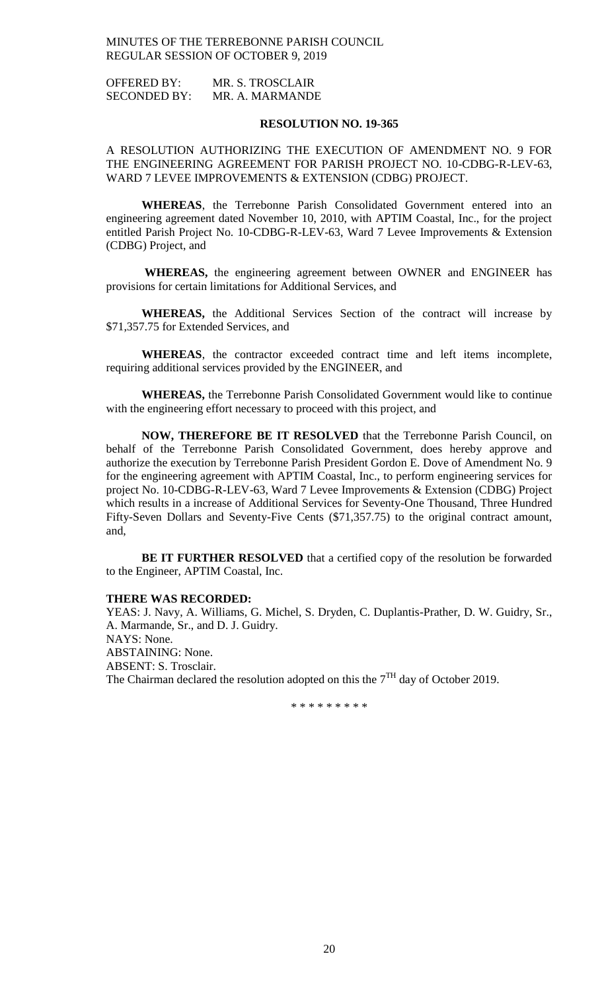OFFERED BY: MR. S. TROSCLAIR SECONDED BY: MR. A. MARMANDE

### **RESOLUTION NO. 19-365**

A RESOLUTION AUTHORIZING THE EXECUTION OF AMENDMENT NO. 9 FOR THE ENGINEERING AGREEMENT FOR PARISH PROJECT NO. 10-CDBG-R-LEV-63, WARD 7 LEVEE IMPROVEMENTS & EXTENSION (CDBG) PROJECT.

**WHEREAS**, the Terrebonne Parish Consolidated Government entered into an engineering agreement dated November 10, 2010, with APTIM Coastal, Inc., for the project entitled Parish Project No. 10-CDBG-R-LEV-63, Ward 7 Levee Improvements & Extension (CDBG) Project, and

**WHEREAS,** the engineering agreement between OWNER and ENGINEER has provisions for certain limitations for Additional Services, and

**WHEREAS,** the Additional Services Section of the contract will increase by \$71,357.75 for Extended Services, and

**WHEREAS**, the contractor exceeded contract time and left items incomplete, requiring additional services provided by the ENGINEER, and

**WHEREAS,** the Terrebonne Parish Consolidated Government would like to continue with the engineering effort necessary to proceed with this project, and

**NOW, THEREFORE BE IT RESOLVED** that the Terrebonne Parish Council, on behalf of the Terrebonne Parish Consolidated Government, does hereby approve and authorize the execution by Terrebonne Parish President Gordon E. Dove of Amendment No. 9 for the engineering agreement with APTIM Coastal, Inc., to perform engineering services for project No. 10-CDBG-R-LEV-63, Ward 7 Levee Improvements & Extension (CDBG) Project which results in a increase of Additional Services for Seventy-One Thousand, Three Hundred Fifty-Seven Dollars and Seventy-Five Cents (\$71,357.75) to the original contract amount, and,

**BE IT FURTHER RESOLVED** that a certified copy of the resolution be forwarded to the Engineer, APTIM Coastal, Inc.

# **THERE WAS RECORDED:**

YEAS: J. Navy, A. Williams, G. Michel, S. Dryden, C. Duplantis-Prather, D. W. Guidry, Sr., A. Marmande, Sr., and D. J. Guidry. NAYS: None. ABSTAINING: None. ABSENT: S. Trosclair. The Chairman declared the resolution adopted on this the  $7<sup>TH</sup>$  day of October 2019.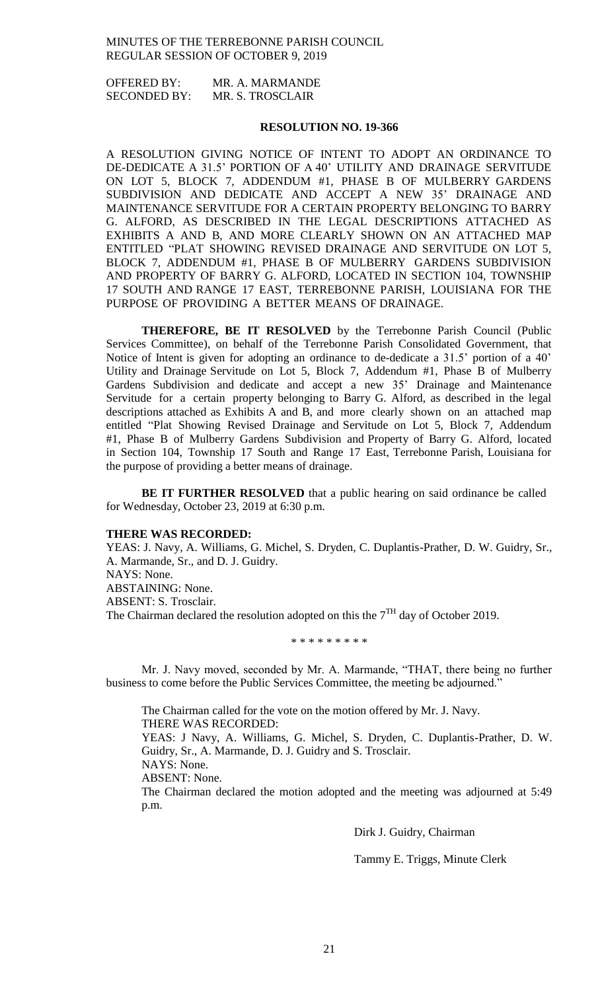| <b>OFFERED BY:</b>  | MR. A. MARMANDE  |
|---------------------|------------------|
| <b>SECONDED BY:</b> | MR. S. TROSCLAIR |

### **RESOLUTION NO. 19-366**

A RESOLUTION GIVING NOTICE OF INTENT TO ADOPT AN ORDINANCE TO DE-DEDICATE A 31.5' PORTION OF A 40' UTILITY AND DRAINAGE SERVITUDE ON LOT 5, BLOCK 7, ADDENDUM #1, PHASE B OF MULBERRY GARDENS SUBDIVISION AND DEDICATE AND ACCEPT A NEW 35' DRAINAGE AND MAINTENANCE SERVITUDE FOR A CERTAIN PROPERTY BELONGING TO BARRY G. ALFORD, AS DESCRIBED IN THE LEGAL DESCRIPTIONS ATTACHED AS EXHIBITS A AND B, AND MORE CLEARLY SHOWN ON AN ATTACHED MAP ENTITLED "PLAT SHOWING REVISED DRAINAGE AND SERVITUDE ON LOT 5, BLOCK 7, ADDENDUM #1, PHASE B OF MULBERRY GARDENS SUBDIVISION AND PROPERTY OF BARRY G. ALFORD, LOCATED IN SECTION 104, TOWNSHIP 17 SOUTH AND RANGE 17 EAST, TERREBONNE PARISH, LOUISIANA FOR THE PURPOSE OF PROVIDING A BETTER MEANS OF DRAINAGE.

**THEREFORE, BE IT RESOLVED** by the Terrebonne Parish Council (Public Services Committee), on behalf of the Terrebonne Parish Consolidated Government, that Notice of Intent is given for adopting an ordinance to de-dedicate a 31.5' portion of a 40' Utility and Drainage Servitude on Lot 5, Block 7, Addendum #1, Phase B of Mulberry Gardens Subdivision and dedicate and accept a new 35' Drainage and Maintenance Servitude for a certain property belonging to Barry G. Alford, as described in the legal descriptions attached as Exhibits A and B, and more clearly shown on an attached map entitled "Plat Showing Revised Drainage and Servitude on Lot 5, Block 7, Addendum #1, Phase B of Mulberry Gardens Subdivision and Property of Barry G. Alford, located in Section 104, Township 17 South and Range 17 East, Terrebonne Parish, Louisiana for the purpose of providing a better means of drainage.

**BE IT FURTHER RESOLVED** that a public hearing on said ordinance be called for Wednesday, October 23, 2019 at 6:30 p.m.

#### **THERE WAS RECORDED:**

YEAS: J. Navy, A. Williams, G. Michel, S. Dryden, C. Duplantis-Prather, D. W. Guidry, Sr., A. Marmande, Sr., and D. J. Guidry. NAYS: None. ABSTAINING: None. ABSENT: S. Trosclair. The Chairman declared the resolution adopted on this the  $7<sup>TH</sup>$  day of October 2019.

#### \* \* \* \* \* \* \* \* \*

Mr. J. Navy moved, seconded by Mr. A. Marmande, "THAT, there being no further business to come before the Public Services Committee, the meeting be adjourned."

The Chairman called for the vote on the motion offered by Mr. J. Navy. THERE WAS RECORDED: YEAS: J Navy, A. Williams, G. Michel, S. Dryden, C. Duplantis-Prather, D. W. Guidry, Sr., A. Marmande, D. J. Guidry and S. Trosclair. NAYS: None. ABSENT: None. The Chairman declared the motion adopted and the meeting was adjourned at 5:49 p.m.

Dirk J. Guidry, Chairman

Tammy E. Triggs, Minute Clerk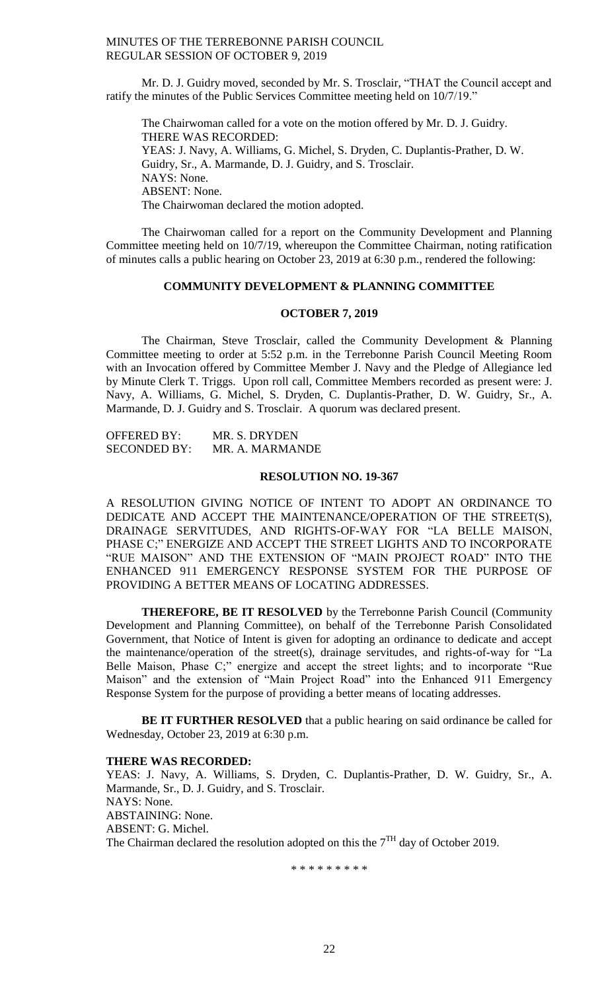Mr. D. J. Guidry moved, seconded by Mr. S. Trosclair, "THAT the Council accept and ratify the minutes of the Public Services Committee meeting held on 10/7/19."

The Chairwoman called for a vote on the motion offered by Mr. D. J. Guidry. THERE WAS RECORDED: YEAS: J. Navy, A. Williams, G. Michel, S. Dryden, C. Duplantis-Prather, D. W. Guidry, Sr., A. Marmande, D. J. Guidry, and S. Trosclair. NAYS: None. ABSENT: None. The Chairwoman declared the motion adopted.

The Chairwoman called for a report on the Community Development and Planning Committee meeting held on 10/7/19, whereupon the Committee Chairman, noting ratification of minutes calls a public hearing on October 23, 2019 at 6:30 p.m., rendered the following:

# **COMMUNITY DEVELOPMENT & PLANNING COMMITTEE**

## **OCTOBER 7, 2019**

The Chairman, Steve Trosclair, called the Community Development & Planning Committee meeting to order at 5:52 p.m. in the Terrebonne Parish Council Meeting Room with an Invocation offered by Committee Member J. Navy and the Pledge of Allegiance led by Minute Clerk T. Triggs. Upon roll call, Committee Members recorded as present were: J. Navy, A. Williams, G. Michel, S. Dryden, C. Duplantis-Prather, D. W. Guidry, Sr., A. Marmande, D. J. Guidry and S. Trosclair. A quorum was declared present.

| <b>OFFERED BY:</b>  | MR. S. DRYDEN   |
|---------------------|-----------------|
| <b>SECONDED BY:</b> | MR. A. MARMANDE |

# **RESOLUTION NO. 19-367**

A RESOLUTION GIVING NOTICE OF INTENT TO ADOPT AN ORDINANCE TO DEDICATE AND ACCEPT THE MAINTENANCE/OPERATION OF THE STREET(S), DRAINAGE SERVITUDES, AND RIGHTS-OF-WAY FOR "LA BELLE MAISON, PHASE C;" ENERGIZE AND ACCEPT THE STREET LIGHTS AND TO INCORPORATE "RUE MAISON" AND THE EXTENSION OF "MAIN PROJECT ROAD" INTO THE ENHANCED 911 EMERGENCY RESPONSE SYSTEM FOR THE PURPOSE OF PROVIDING A BETTER MEANS OF LOCATING ADDRESSES.

**THEREFORE, BE IT RESOLVED** by the Terrebonne Parish Council (Community Development and Planning Committee), on behalf of the Terrebonne Parish Consolidated Government, that Notice of Intent is given for adopting an ordinance to dedicate and accept the maintenance/operation of the street(s), drainage servitudes, and rights-of-way for "La Belle Maison, Phase C;" energize and accept the street lights; and to incorporate "Rue Maison" and the extension of "Main Project Road" into the Enhanced 911 Emergency Response System for the purpose of providing a better means of locating addresses.

**BE IT FURTHER RESOLVED** that a public hearing on said ordinance be called for Wednesday, October 23, 2019 at 6:30 p.m.

#### **THERE WAS RECORDED:**

YEAS: J. Navy, A. Williams, S. Dryden, C. Duplantis-Prather, D. W. Guidry, Sr., A. Marmande, Sr., D. J. Guidry, and S. Trosclair. NAYS: None. ABSTAINING: None. ABSENT: G. Michel. The Chairman declared the resolution adopted on this the  $7<sup>TH</sup>$  day of October 2019.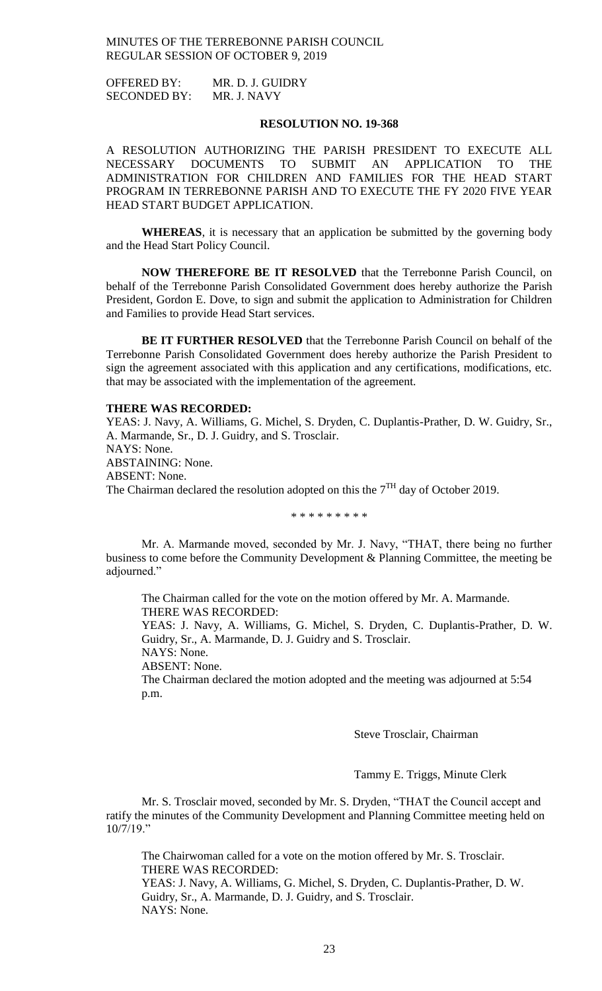OFFERED BY: MR. D. J. GUIDRY SECONDED BY: MR. J. NAVY

# **RESOLUTION NO. 19-368**

A RESOLUTION AUTHORIZING THE PARISH PRESIDENT TO EXECUTE ALL NECESSARY DOCUMENTS TO SUBMIT AN APPLICATION TO THE ADMINISTRATION FOR CHILDREN AND FAMILIES FOR THE HEAD START PROGRAM IN TERREBONNE PARISH AND TO EXECUTE THE FY 2020 FIVE YEAR HEAD START BUDGET APPLICATION.

**WHEREAS**, it is necessary that an application be submitted by the governing body and the Head Start Policy Council.

**NOW THEREFORE BE IT RESOLVED** that the Terrebonne Parish Council, on behalf of the Terrebonne Parish Consolidated Government does hereby authorize the Parish President, Gordon E. Dove, to sign and submit the application to Administration for Children and Families to provide Head Start services.

**BE IT FURTHER RESOLVED** that the Terrebonne Parish Council on behalf of the Terrebonne Parish Consolidated Government does hereby authorize the Parish President to sign the agreement associated with this application and any certifications, modifications, etc. that may be associated with the implementation of the agreement.

## **THERE WAS RECORDED:**

YEAS: J. Navy, A. Williams, G. Michel, S. Dryden, C. Duplantis-Prather, D. W. Guidry, Sr., A. Marmande, Sr., D. J. Guidry, and S. Trosclair. NAYS: None. ABSTAINING: None. ABSENT: None. The Chairman declared the resolution adopted on this the  $7<sup>TH</sup>$  day of October 2019.

\* \* \* \* \* \* \* \* \*

Mr. A. Marmande moved, seconded by Mr. J. Navy, "THAT, there being no further business to come before the Community Development & Planning Committee, the meeting be adjourned."

The Chairman called for the vote on the motion offered by Mr. A. Marmande. THERE WAS RECORDED:

YEAS: J. Navy, A. Williams, G. Michel, S. Dryden, C. Duplantis-Prather, D. W. Guidry, Sr., A. Marmande, D. J. Guidry and S. Trosclair.

NAYS: None.

ABSENT: None.

The Chairman declared the motion adopted and the meeting was adjourned at 5:54 p.m.

# Steve Trosclair, Chairman

Tammy E. Triggs, Minute Clerk

Mr. S. Trosclair moved, seconded by Mr. S. Dryden, "THAT the Council accept and ratify the minutes of the Community Development and Planning Committee meeting held on 10/7/19."

The Chairwoman called for a vote on the motion offered by Mr. S. Trosclair. THERE WAS RECORDED: YEAS: J. Navy, A. Williams, G. Michel, S. Dryden, C. Duplantis-Prather, D. W. Guidry, Sr., A. Marmande, D. J. Guidry, and S. Trosclair. NAYS: None.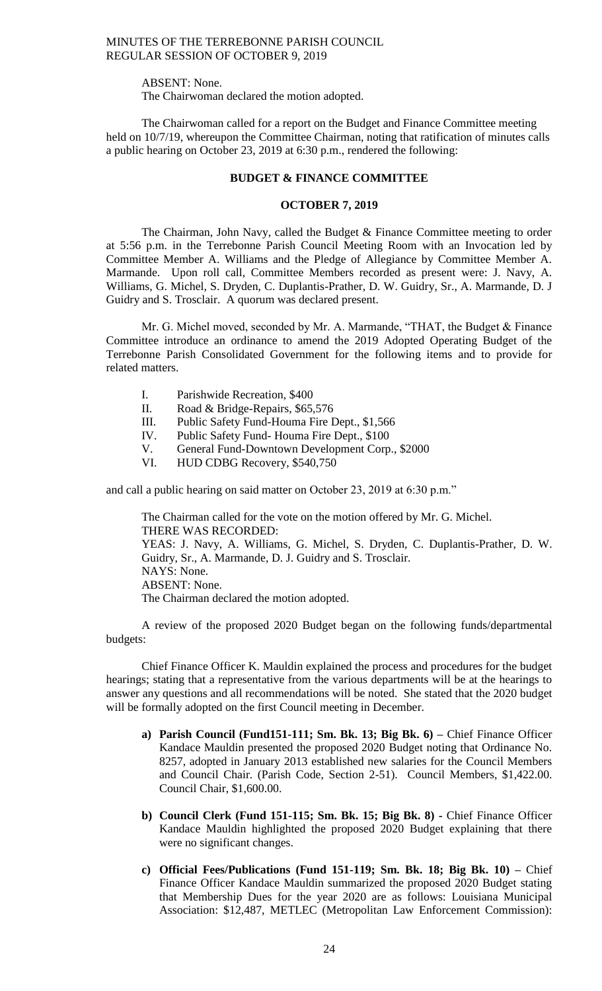#### ABSENT: None.

The Chairwoman declared the motion adopted.

The Chairwoman called for a report on the Budget and Finance Committee meeting held on 10/7/19, whereupon the Committee Chairman, noting that ratification of minutes calls a public hearing on October 23, 2019 at 6:30 p.m., rendered the following:

# **BUDGET & FINANCE COMMITTEE**

#### **OCTOBER 7, 2019**

The Chairman, John Navy, called the Budget & Finance Committee meeting to order at 5:56 p.m. in the Terrebonne Parish Council Meeting Room with an Invocation led by Committee Member A. Williams and the Pledge of Allegiance by Committee Member A. Marmande. Upon roll call, Committee Members recorded as present were: J. Navy, A. Williams, G. Michel, S. Dryden, C. Duplantis-Prather, D. W. Guidry, Sr., A. Marmande, D. J Guidry and S. Trosclair. A quorum was declared present.

Mr. G. Michel moved, seconded by Mr. A. Marmande, "THAT, the Budget & Finance Committee introduce an ordinance to amend the 2019 Adopted Operating Budget of the Terrebonne Parish Consolidated Government for the following items and to provide for related matters.

- I. Parishwide Recreation, \$400
- II. Road & Bridge-Repairs, \$65,576
- III. Public Safety Fund-Houma Fire Dept., \$1,566
- IV. Public Safety Fund- Houma Fire Dept., \$100
- V. General Fund-Downtown Development Corp., \$2000
- VI. HUD CDBG Recovery, \$540,750

and call a public hearing on said matter on October 23, 2019 at 6:30 p.m."

The Chairman called for the vote on the motion offered by Mr. G. Michel. THERE WAS RECORDED: YEAS: J. Navy, A. Williams, G. Michel, S. Dryden, C. Duplantis-Prather, D. W. Guidry, Sr., A. Marmande, D. J. Guidry and S. Trosclair. NAYS: None. ABSENT: None. The Chairman declared the motion adopted.

A review of the proposed 2020 Budget began on the following funds/departmental budgets:

Chief Finance Officer K. Mauldin explained the process and procedures for the budget hearings; stating that a representative from the various departments will be at the hearings to answer any questions and all recommendations will be noted. She stated that the 2020 budget will be formally adopted on the first Council meeting in December.

- **a) Parish Council (Fund151-111; Sm. Bk. 13; Big Bk. 6) –** Chief Finance Officer Kandace Mauldin presented the proposed 2020 Budget noting that Ordinance No. 8257, adopted in January 2013 established new salaries for the Council Members and Council Chair. (Parish Code, Section 2-51). Council Members, \$1,422.00. Council Chair, \$1,600.00.
- **b) Council Clerk (Fund 151-115; Sm. Bk. 15; Big Bk. 8) -** Chief Finance Officer Kandace Mauldin highlighted the proposed 2020 Budget explaining that there were no significant changes.
- **c) Official Fees/Publications (Fund 151-119; Sm. Bk. 18; Big Bk. 10) –** Chief Finance Officer Kandace Mauldin summarized the proposed 2020 Budget stating that Membership Dues for the year 2020 are as follows: Louisiana Municipal Association: \$12,487, METLEC (Metropolitan Law Enforcement Commission):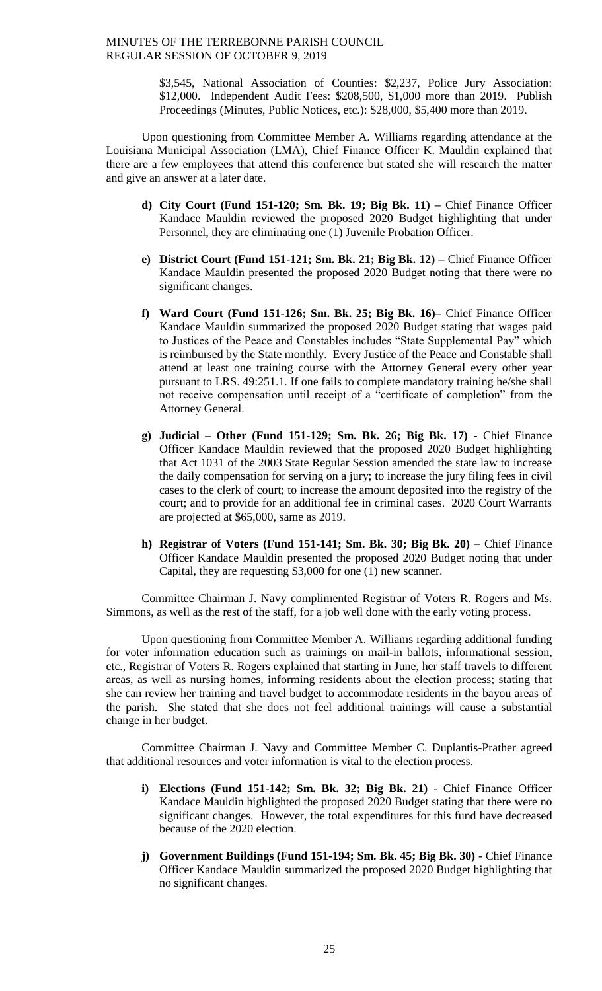\$3,545, National Association of Counties: \$2,237, Police Jury Association: \$12,000. Independent Audit Fees: \$208,500, \$1,000 more than 2019. Publish Proceedings (Minutes, Public Notices, etc.): \$28,000, \$5,400 more than 2019.

Upon questioning from Committee Member A. Williams regarding attendance at the Louisiana Municipal Association (LMA), Chief Finance Officer K. Mauldin explained that there are a few employees that attend this conference but stated she will research the matter and give an answer at a later date.

- **d) City Court (Fund 151-120; Sm. Bk. 19; Big Bk. 11) –** Chief Finance Officer Kandace Mauldin reviewed the proposed 2020 Budget highlighting that under Personnel, they are eliminating one (1) Juvenile Probation Officer.
- **e) District Court (Fund 151-121; Sm. Bk. 21; Big Bk. 12) –** Chief Finance Officer Kandace Mauldin presented the proposed 2020 Budget noting that there were no significant changes.
- **f) Ward Court (Fund 151-126; Sm. Bk. 25; Big Bk. 16)–** Chief Finance Officer Kandace Mauldin summarized the proposed 2020 Budget stating that wages paid to Justices of the Peace and Constables includes "State Supplemental Pay" which is reimbursed by the State monthly. Every Justice of the Peace and Constable shall attend at least one training course with the Attorney General every other year pursuant to LRS. 49:251.1. If one fails to complete mandatory training he/she shall not receive compensation until receipt of a "certificate of completion" from the Attorney General.
- **g) Judicial – Other (Fund 151-129; Sm. Bk. 26; Big Bk. 17) -** Chief Finance Officer Kandace Mauldin reviewed that the proposed 2020 Budget highlighting that Act 1031 of the 2003 State Regular Session amended the state law to increase the daily compensation for serving on a jury; to increase the jury filing fees in civil cases to the clerk of court; to increase the amount deposited into the registry of the court; and to provide for an additional fee in criminal cases. 2020 Court Warrants are projected at \$65,000, same as 2019.
- **h) Registrar of Voters (Fund 151-141; Sm. Bk. 30; Big Bk. 20)** Chief Finance Officer Kandace Mauldin presented the proposed 2020 Budget noting that under Capital, they are requesting \$3,000 for one (1) new scanner.

Committee Chairman J. Navy complimented Registrar of Voters R. Rogers and Ms. Simmons, as well as the rest of the staff, for a job well done with the early voting process.

Upon questioning from Committee Member A. Williams regarding additional funding for voter information education such as trainings on mail-in ballots, informational session, etc., Registrar of Voters R. Rogers explained that starting in June, her staff travels to different areas, as well as nursing homes, informing residents about the election process; stating that she can review her training and travel budget to accommodate residents in the bayou areas of the parish. She stated that she does not feel additional trainings will cause a substantial change in her budget.

Committee Chairman J. Navy and Committee Member C. Duplantis-Prather agreed that additional resources and voter information is vital to the election process.

- **i) Elections (Fund 151-142; Sm. Bk. 32; Big Bk. 21)** Chief Finance Officer Kandace Mauldin highlighted the proposed 2020 Budget stating that there were no significant changes. However, the total expenditures for this fund have decreased because of the 2020 election.
- **j) Government Buildings (Fund 151-194; Sm. Bk. 45; Big Bk. 30)**  Chief Finance Officer Kandace Mauldin summarized the proposed 2020 Budget highlighting that no significant changes.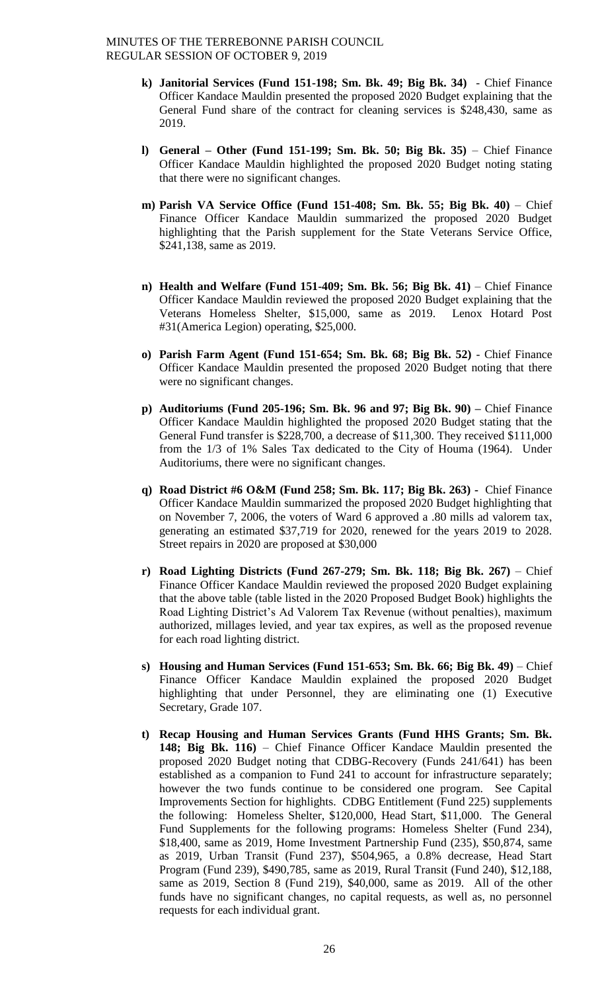- **k) Janitorial Services (Fund 151-198; Sm. Bk. 49; Big Bk. 34)**  Chief Finance Officer Kandace Mauldin presented the proposed 2020 Budget explaining that the General Fund share of the contract for cleaning services is \$248,430, same as 2019.
- **l) General – Other (Fund 151-199; Sm. Bk. 50; Big Bk. 35)** Chief Finance Officer Kandace Mauldin highlighted the proposed 2020 Budget noting stating that there were no significant changes.
- **m) Parish VA Service Office (Fund 151-408; Sm. Bk. 55; Big Bk. 40)** Chief Finance Officer Kandace Mauldin summarized the proposed 2020 Budget highlighting that the Parish supplement for the State Veterans Service Office, \$241,138, same as 2019.
- **n) Health and Welfare (Fund 151-409; Sm. Bk. 56; Big Bk. 41)** Chief Finance Officer Kandace Mauldin reviewed the proposed 2020 Budget explaining that the Veterans Homeless Shelter, \$15,000, same as 2019. Lenox Hotard Post #31(America Legion) operating, \$25,000.
- **o) Parish Farm Agent (Fund 151-654; Sm. Bk. 68; Big Bk. 52)**  Chief Finance Officer Kandace Mauldin presented the proposed 2020 Budget noting that there were no significant changes.
- **p) Auditoriums (Fund 205-196; Sm. Bk. 96 and 97; Big Bk. 90) –** Chief Finance Officer Kandace Mauldin highlighted the proposed 2020 Budget stating that the General Fund transfer is \$228,700, a decrease of \$11,300. They received \$111,000 from the 1/3 of 1% Sales Tax dedicated to the City of Houma (1964). Under Auditoriums, there were no significant changes.
- **q) Road District #6 O&M (Fund 258; Sm. Bk. 117; Big Bk. 263) -** Chief Finance Officer Kandace Mauldin summarized the proposed 2020 Budget highlighting that on November 7, 2006, the voters of Ward 6 approved a .80 mills ad valorem tax, generating an estimated \$37,719 for 2020, renewed for the years 2019 to 2028. Street repairs in 2020 are proposed at \$30,000
- **r) Road Lighting Districts (Fund 267-279; Sm. Bk. 118; Big Bk. 267)** Chief Finance Officer Kandace Mauldin reviewed the proposed 2020 Budget explaining that the above table (table listed in the 2020 Proposed Budget Book) highlights the Road Lighting District's Ad Valorem Tax Revenue (without penalties), maximum authorized, millages levied, and year tax expires, as well as the proposed revenue for each road lighting district.
- **s) Housing and Human Services (Fund 151-653; Sm. Bk. 66; Big Bk. 49)** Chief Finance Officer Kandace Mauldin explained the proposed 2020 Budget highlighting that under Personnel, they are eliminating one (1) Executive Secretary, Grade 107.
- **t) Recap Housing and Human Services Grants (Fund HHS Grants; Sm. Bk. 148; Big Bk. 116)** – Chief Finance Officer Kandace Mauldin presented the proposed 2020 Budget noting that CDBG-Recovery (Funds 241/641) has been established as a companion to Fund 241 to account for infrastructure separately; however the two funds continue to be considered one program. See Capital Improvements Section for highlights. CDBG Entitlement (Fund 225) supplements the following: Homeless Shelter, \$120,000, Head Start, \$11,000. The General Fund Supplements for the following programs: Homeless Shelter (Fund 234), \$18,400, same as 2019, Home Investment Partnership Fund (235), \$50,874, same as 2019, Urban Transit (Fund 237), \$504,965, a 0.8% decrease, Head Start Program (Fund 239), \$490,785, same as 2019, Rural Transit (Fund 240), \$12,188, same as 2019, Section 8 (Fund 219), \$40,000, same as 2019. All of the other funds have no significant changes, no capital requests, as well as, no personnel requests for each individual grant.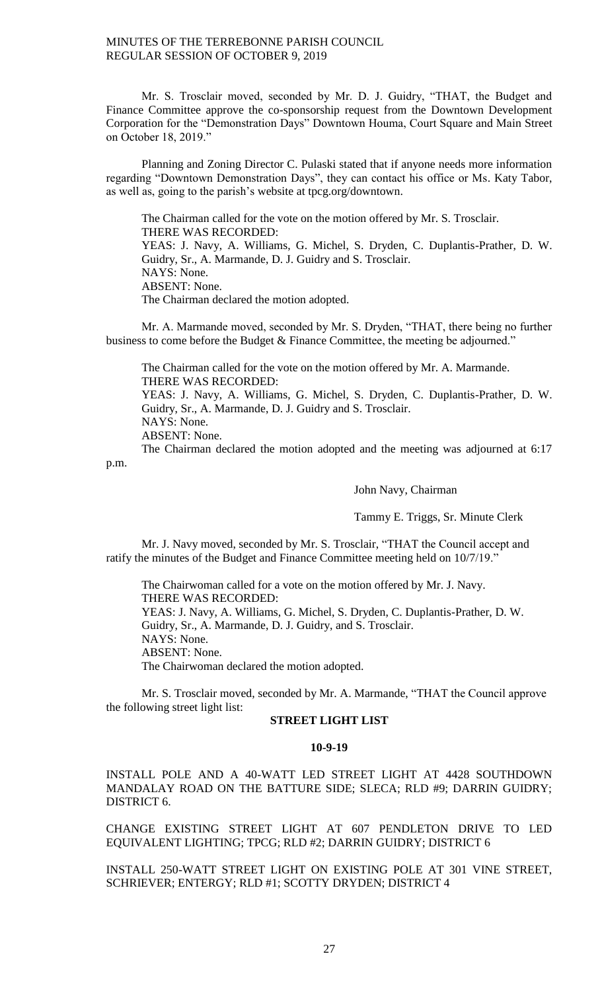Mr. S. Trosclair moved, seconded by Mr. D. J. Guidry, "THAT, the Budget and Finance Committee approve the co-sponsorship request from the Downtown Development Corporation for the "Demonstration Days" Downtown Houma, Court Square and Main Street on October 18, 2019."

Planning and Zoning Director C. Pulaski stated that if anyone needs more information regarding "Downtown Demonstration Days", they can contact his office or Ms. Katy Tabor, as well as, going to the parish's website at tpcg.org/downtown.

The Chairman called for the vote on the motion offered by Mr. S. Trosclair. THERE WAS RECORDED: YEAS: J. Navy, A. Williams, G. Michel, S. Dryden, C. Duplantis-Prather, D. W. Guidry, Sr., A. Marmande, D. J. Guidry and S. Trosclair. NAYS: None. ABSENT: None. The Chairman declared the motion adopted.

Mr. A. Marmande moved, seconded by Mr. S. Dryden, "THAT, there being no further business to come before the Budget & Finance Committee, the meeting be adjourned."

The Chairman called for the vote on the motion offered by Mr. A. Marmande. THERE WAS RECORDED: YEAS: J. Navy, A. Williams, G. Michel, S. Dryden, C. Duplantis-Prather, D. W. Guidry, Sr., A. Marmande, D. J. Guidry and S. Trosclair. NAYS: None.

ABSENT: None.

The Chairman declared the motion adopted and the meeting was adjourned at 6:17 p.m.

John Navy, Chairman

Tammy E. Triggs, Sr. Minute Clerk

Mr. J. Navy moved, seconded by Mr. S. Trosclair, "THAT the Council accept and ratify the minutes of the Budget and Finance Committee meeting held on 10/7/19."

The Chairwoman called for a vote on the motion offered by Mr. J. Navy. THERE WAS RECORDED: YEAS: J. Navy, A. Williams, G. Michel, S. Dryden, C. Duplantis-Prather, D. W. Guidry, Sr., A. Marmande, D. J. Guidry, and S. Trosclair. NAYS: None. ABSENT: None. The Chairwoman declared the motion adopted.

Mr. S. Trosclair moved, seconded by Mr. A. Marmande, "THAT the Council approve the following street light list:

# **STREET LIGHT LIST**

# **10-9-19**

INSTALL POLE AND A 40-WATT LED STREET LIGHT AT 4428 SOUTHDOWN MANDALAY ROAD ON THE BATTURE SIDE; SLECA; RLD #9; DARRIN GUIDRY; DISTRICT 6.

CHANGE EXISTING STREET LIGHT AT 607 PENDLETON DRIVE TO LED EQUIVALENT LIGHTING; TPCG; RLD #2; DARRIN GUIDRY; DISTRICT 6

INSTALL 250-WATT STREET LIGHT ON EXISTING POLE AT 301 VINE STREET, SCHRIEVER; ENTERGY; RLD #1; SCOTTY DRYDEN; DISTRICT 4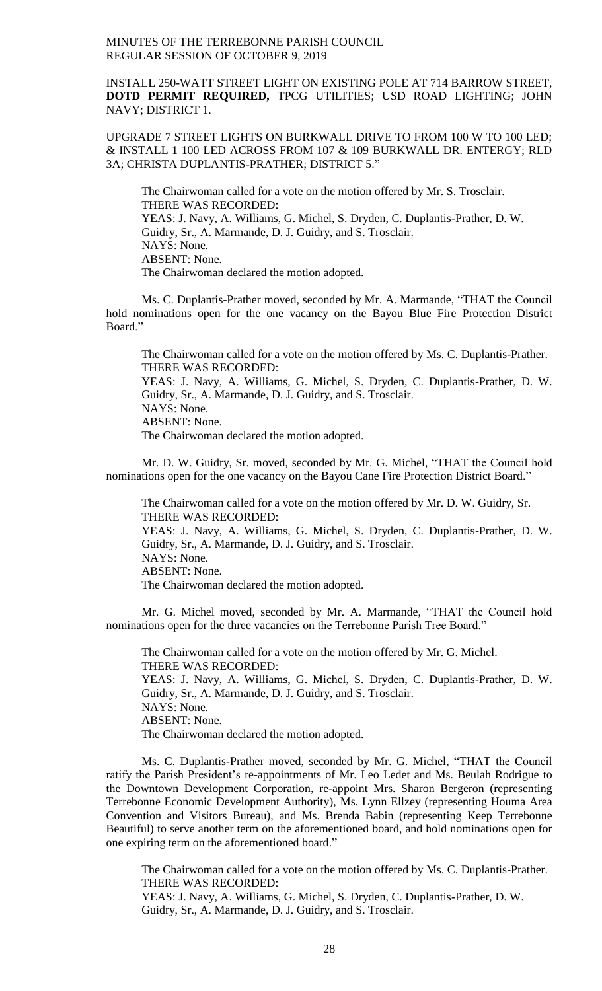INSTALL 250-WATT STREET LIGHT ON EXISTING POLE AT 714 BARROW STREET, **DOTD PERMIT REQUIRED,** TPCG UTILITIES; USD ROAD LIGHTING; JOHN NAVY; DISTRICT 1.

UPGRADE 7 STREET LIGHTS ON BURKWALL DRIVE TO FROM 100 W TO 100 LED; & INSTALL 1 100 LED ACROSS FROM 107 & 109 BURKWALL DR. ENTERGY; RLD 3A; CHRISTA DUPLANTIS-PRATHER; DISTRICT 5."

The Chairwoman called for a vote on the motion offered by Mr. S. Trosclair. THERE WAS RECORDED: YEAS: J. Navy, A. Williams, G. Michel, S. Dryden, C. Duplantis-Prather, D. W. Guidry, Sr., A. Marmande, D. J. Guidry, and S. Trosclair. NAYS: None. ABSENT: None. The Chairwoman declared the motion adopted.

Ms. C. Duplantis-Prather moved, seconded by Mr. A. Marmande, "THAT the Council hold nominations open for the one vacancy on the Bayou Blue Fire Protection District Board."

The Chairwoman called for a vote on the motion offered by Ms. C. Duplantis-Prather. THERE WAS RECORDED: YEAS: J. Navy, A. Williams, G. Michel, S. Dryden, C. Duplantis-Prather, D. W. Guidry, Sr., A. Marmande, D. J. Guidry, and S. Trosclair. NAYS: None. ABSENT: None. The Chairwoman declared the motion adopted.

Mr. D. W. Guidry, Sr. moved, seconded by Mr. G. Michel, "THAT the Council hold nominations open for the one vacancy on the Bayou Cane Fire Protection District Board."

The Chairwoman called for a vote on the motion offered by Mr. D. W. Guidry, Sr. THERE WAS RECORDED:

YEAS: J. Navy, A. Williams, G. Michel, S. Dryden, C. Duplantis-Prather, D. W. Guidry, Sr., A. Marmande, D. J. Guidry, and S. Trosclair. NAYS: None. ABSENT: None. The Chairwoman declared the motion adopted.

Mr. G. Michel moved, seconded by Mr. A. Marmande, "THAT the Council hold nominations open for the three vacancies on the Terrebonne Parish Tree Board."

The Chairwoman called for a vote on the motion offered by Mr. G. Michel. THERE WAS RECORDED: YEAS: J. Navy, A. Williams, G. Michel, S. Dryden, C. Duplantis-Prather, D. W. Guidry, Sr., A. Marmande, D. J. Guidry, and S. Trosclair. NAYS: None. ABSENT: None. The Chairwoman declared the motion adopted.

Ms. C. Duplantis-Prather moved, seconded by Mr. G. Michel, "THAT the Council ratify the Parish President's re-appointments of Mr. Leo Ledet and Ms. Beulah Rodrigue to the Downtown Development Corporation, re-appoint Mrs. Sharon Bergeron (representing Terrebonne Economic Development Authority), Ms. Lynn Ellzey (representing Houma Area Convention and Visitors Bureau), and Ms. Brenda Babin (representing Keep Terrebonne Beautiful) to serve another term on the aforementioned board, and hold nominations open for one expiring term on the aforementioned board."

The Chairwoman called for a vote on the motion offered by Ms. C. Duplantis-Prather. THERE WAS RECORDED:

YEAS: J. Navy, A. Williams, G. Michel, S. Dryden, C. Duplantis-Prather, D. W. Guidry, Sr., A. Marmande, D. J. Guidry, and S. Trosclair.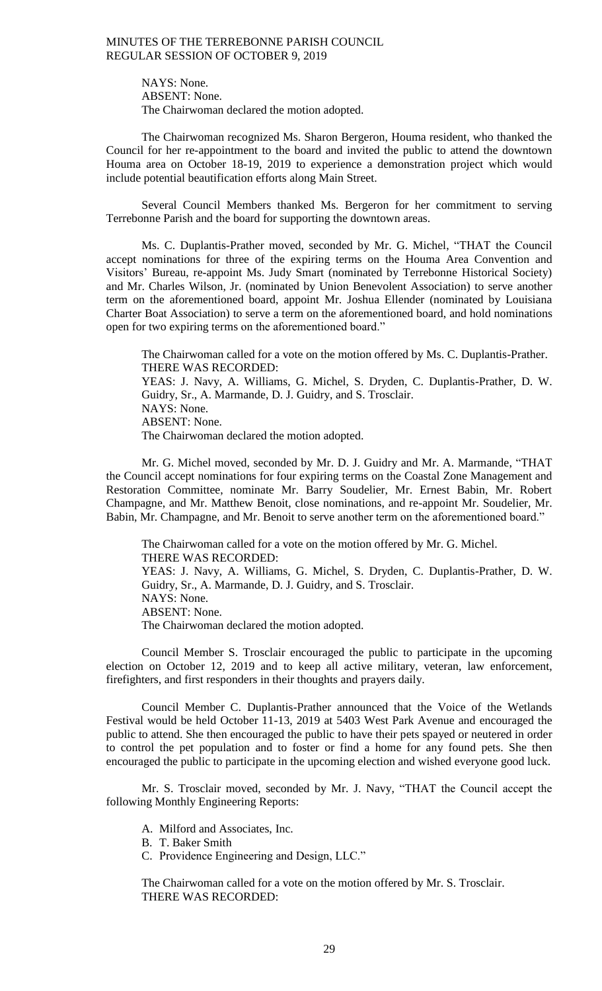NAYS: None. ABSENT: None. The Chairwoman declared the motion adopted.

The Chairwoman recognized Ms. Sharon Bergeron, Houma resident, who thanked the Council for her re-appointment to the board and invited the public to attend the downtown Houma area on October 18-19, 2019 to experience a demonstration project which would include potential beautification efforts along Main Street.

Several Council Members thanked Ms. Bergeron for her commitment to serving Terrebonne Parish and the board for supporting the downtown areas.

Ms. C. Duplantis-Prather moved, seconded by Mr. G. Michel, "THAT the Council accept nominations for three of the expiring terms on the Houma Area Convention and Visitors' Bureau, re-appoint Ms. Judy Smart (nominated by Terrebonne Historical Society) and Mr. Charles Wilson, Jr. (nominated by Union Benevolent Association) to serve another term on the aforementioned board, appoint Mr. Joshua Ellender (nominated by Louisiana Charter Boat Association) to serve a term on the aforementioned board, and hold nominations open for two expiring terms on the aforementioned board."

The Chairwoman called for a vote on the motion offered by Ms. C. Duplantis-Prather. THERE WAS RECORDED: YEAS: J. Navy, A. Williams, G. Michel, S. Dryden, C. Duplantis-Prather, D. W. Guidry, Sr., A. Marmande, D. J. Guidry, and S. Trosclair. NAYS: None. ABSENT: None. The Chairwoman declared the motion adopted.

Mr. G. Michel moved, seconded by Mr. D. J. Guidry and Mr. A. Marmande, "THAT the Council accept nominations for four expiring terms on the Coastal Zone Management and Restoration Committee, nominate Mr. Barry Soudelier, Mr. Ernest Babin, Mr. Robert Champagne, and Mr. Matthew Benoit, close nominations, and re-appoint Mr. Soudelier, Mr. Babin, Mr. Champagne, and Mr. Benoit to serve another term on the aforementioned board."

The Chairwoman called for a vote on the motion offered by Mr. G. Michel. THERE WAS RECORDED: YEAS: J. Navy, A. Williams, G. Michel, S. Dryden, C. Duplantis-Prather, D. W. Guidry, Sr., A. Marmande, D. J. Guidry, and S. Trosclair. NAYS: None. ABSENT: None. The Chairwoman declared the motion adopted.

Council Member S. Trosclair encouraged the public to participate in the upcoming election on October 12, 2019 and to keep all active military, veteran, law enforcement, firefighters, and first responders in their thoughts and prayers daily.

Council Member C. Duplantis-Prather announced that the Voice of the Wetlands Festival would be held October 11-13, 2019 at 5403 West Park Avenue and encouraged the public to attend. She then encouraged the public to have their pets spayed or neutered in order to control the pet population and to foster or find a home for any found pets. She then encouraged the public to participate in the upcoming election and wished everyone good luck.

Mr. S. Trosclair moved, seconded by Mr. J. Navy, "THAT the Council accept the following Monthly Engineering Reports:

A. Milford and Associates, Inc.

B. T. Baker Smith

C. Providence Engineering and Design, LLC."

The Chairwoman called for a vote on the motion offered by Mr. S. Trosclair. THERE WAS RECORDED: